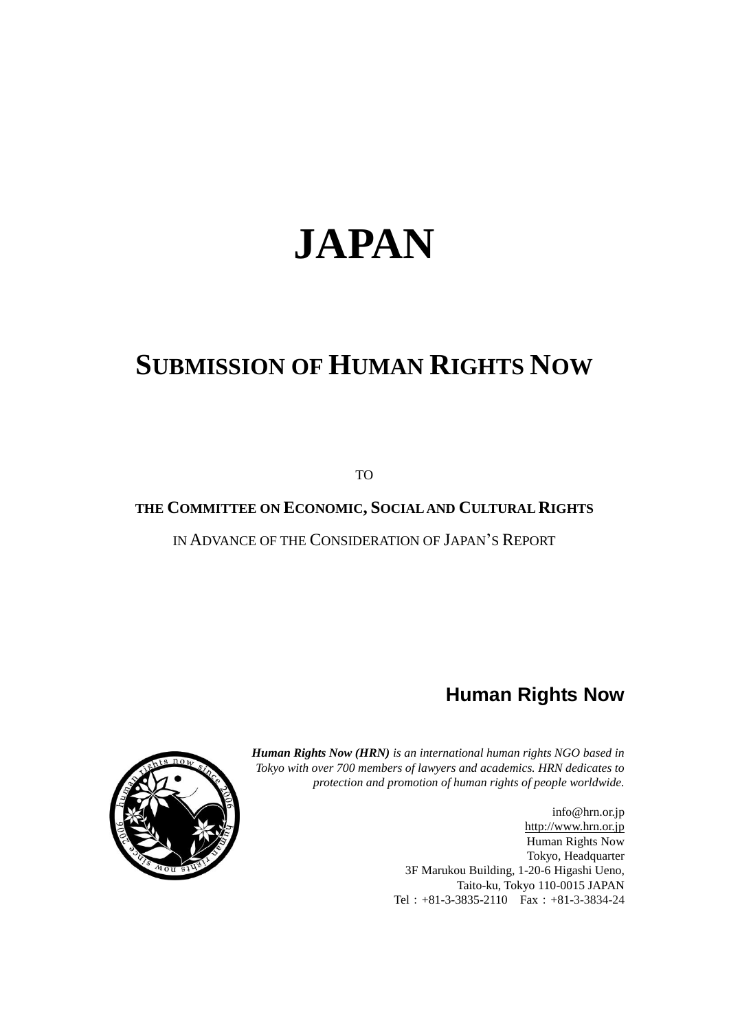# **JAPAN**

# **SUBMISSION OF HUMAN RIGHTS NOW**

TO

# **THE COMMITTEE ON ECONOMIC, SOCIAL AND CULTURAL RIGHTS**

IN ADVANCE OF THE CONSIDERATION OF JAPAN'S REPORT

# **Human Rights Now**



*Human Rights Now (HRN) is an international human rights NGO based in Tokyo with over 700 members of lawyers and academics. HRN dedicates to protection and promotion of human rights of people worldwide.*

> info@hrn.or.jp [http://www.hrn.or.jp](http://www.hrn.or.jp/) Human Rights Now Tokyo, Headquarter 3F Marukou Building, 1-20-6 Higashi Ueno, Taito-ku, Tokyo 110-0015 JAPAN Tel:+81-3-3835-2110 Fax:+81-3-3834-24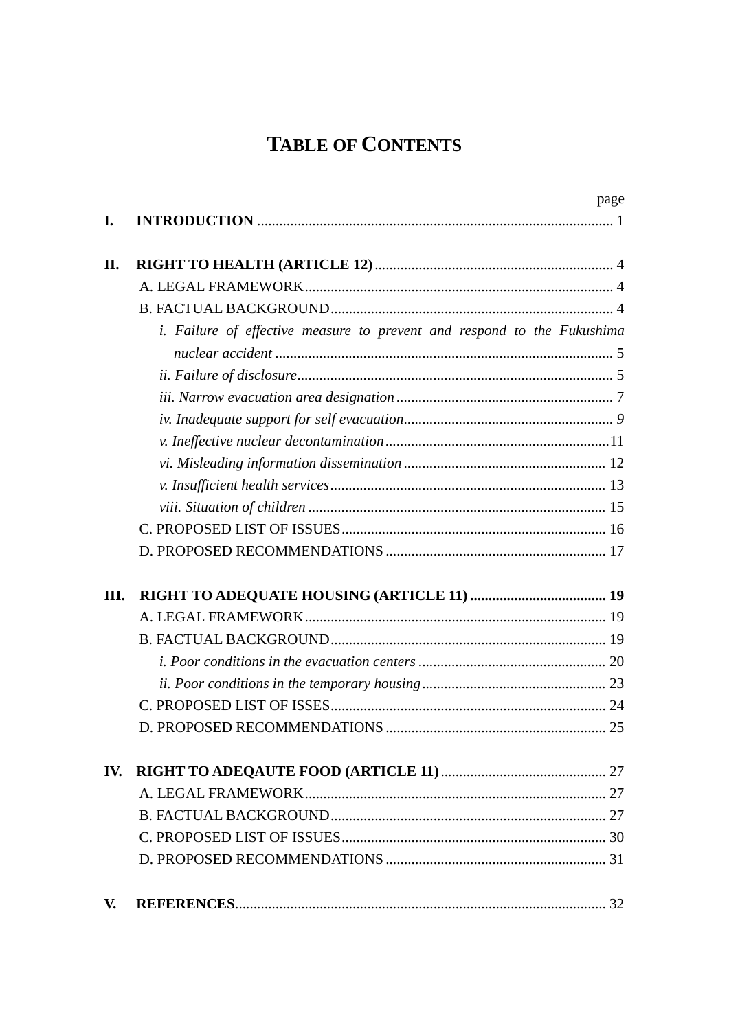# **TABLE OF CONTENTS**

|     |                                                                                | page |
|-----|--------------------------------------------------------------------------------|------|
| I.  |                                                                                |      |
| II. |                                                                                |      |
|     |                                                                                |      |
|     |                                                                                |      |
|     | <i>i.</i> Failure of effective measure to prevent and respond to the Fukushima |      |
|     |                                                                                |      |
|     |                                                                                |      |
|     |                                                                                |      |
|     |                                                                                |      |
|     |                                                                                |      |
|     |                                                                                |      |
|     |                                                                                |      |
|     |                                                                                |      |
|     |                                                                                |      |
|     |                                                                                |      |
| Ш.  |                                                                                |      |
|     |                                                                                |      |
|     |                                                                                |      |
|     |                                                                                |      |
|     |                                                                                |      |
|     |                                                                                |      |
|     |                                                                                |      |
| IV. |                                                                                |      |
|     |                                                                                |      |
|     |                                                                                |      |
|     |                                                                                |      |
|     |                                                                                |      |
| V.  |                                                                                |      |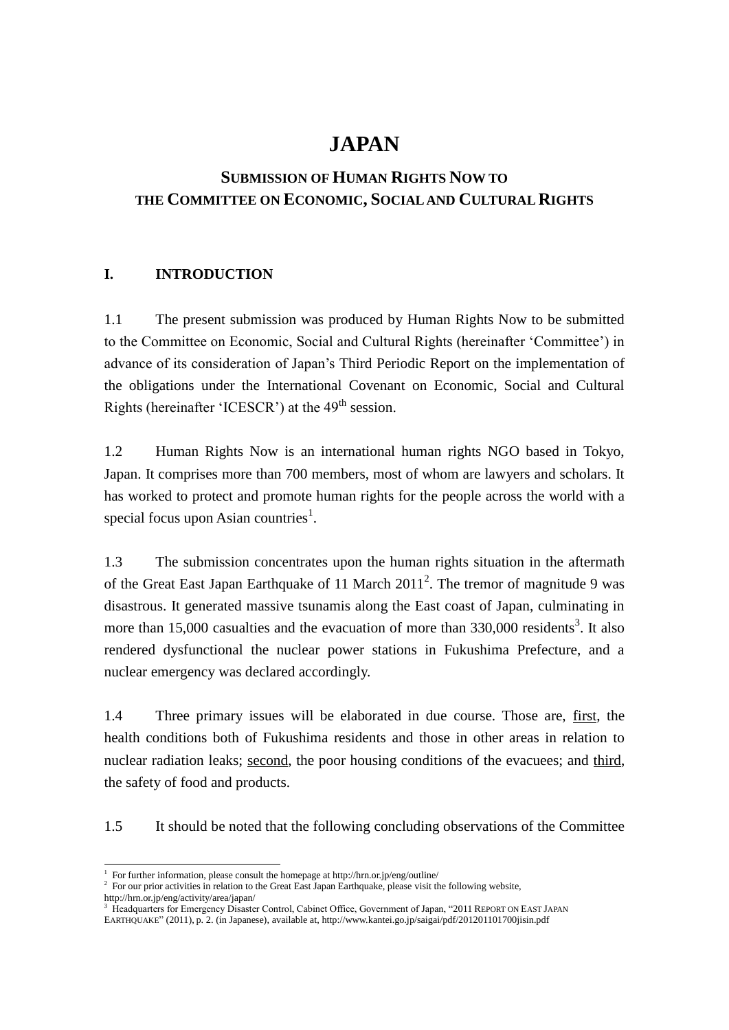# **JAPAN**

# **SUBMISSION OF HUMAN RIGHTS NOW TO THE COMMITTEE ON ECONOMIC, SOCIAL AND CULTURAL RIGHTS**

# <span id="page-4-0"></span>**I. INTRODUCTION**

1.1 The present submission was produced by Human Rights Now to be submitted to the Committee on Economic, Social and Cultural Rights (hereinafter 'Committee') in advance of its consideration of Japan's Third Periodic Report on the implementation of the obligations under the International Covenant on Economic, Social and Cultural Rights (hereinafter 'ICESCR') at the  $49<sup>th</sup>$  session.

1.2 Human Rights Now is an international human rights NGO based in Tokyo, Japan. It comprises more than 700 members, most of whom are lawyers and scholars. It has worked to protect and promote human rights for the people across the world with a special focus upon Asian countries<sup>1</sup>.

1.3 The submission concentrates upon the human rights situation in the aftermath of the Great East Japan Earthquake of 11 March  $2011^2$ . The tremor of magnitude 9 was disastrous. It generated massive tsunamis along the East coast of Japan, culminating in more than 15,000 casualties and the evacuation of more than  $330,000$  residents<sup>3</sup>. It also rendered dysfunctional the nuclear power stations in Fukushima Prefecture, and a nuclear emergency was declared accordingly.

1.4 Three primary issues will be elaborated in due course. Those are, first, the health conditions both of Fukushima residents and those in other areas in relation to nuclear radiation leaks; second, the poor housing conditions of the evacuees; and third, the safety of food and products.

1.5 It should be noted that the following concluding observations of the Committee

<sup>1</sup> For further information, please consult the homepage at http://hrn.or.jp/eng/outline/

<sup>&</sup>lt;sup>2</sup> For our prior activities in relation to the Great East Japan Earthquake, please visit the following website,

http://hrn.or.jp/eng/activity/area/japan/

<sup>&</sup>lt;sup>3</sup> Headquarters for Emergency Disaster Control, Cabinet Office, Government of Japan, "2011 REPORT ON EAST JAPAN EARTHQUAKE" (2011), p. 2. (in Japanese), available at, http://www.kantei.go.jp/saigai/pdf/201201101700jisin.pdf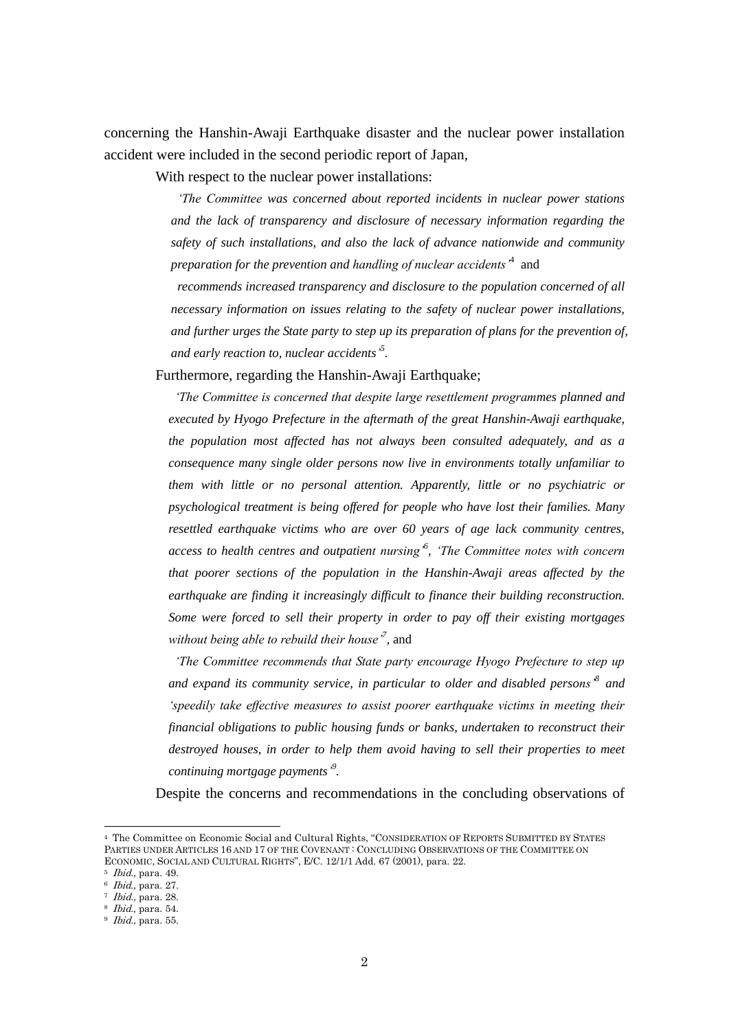concerning the Hanshin-Awaji Earthquake disaster and the nuclear power installation accident were included in the second periodic report of Japan,

With respect to the nuclear power installations:

*'The Committee was concerned about reported incidents in nuclear power stations and the lack of transparency and disclosure of necessary information regarding the safety of such installations, and also the lack of advance nationwide and community preparation for the prevention and handling of nuclear accidents'*<sup>4</sup> and

*recommends increased transparency and disclosure to the population concerned of all necessary information on issues relating to the safety of nuclear power installations, and further urges the State party to step up its preparation of plans for the prevention of, and early reaction to, nuclear accidents' 5 .*

Furthermore, regarding the Hanshin-Awaji Earthquake;

*'The Committee is concerned that despite large resettlement programmes planned and executed by Hyogo Prefecture in the aftermath of the great Hanshin-Awaji earthquake, the population most affected has not always been consulted adequately, and as a consequence many single older persons now live in environments totally unfamiliar to them with little or no personal attention. Apparently, little or no psychiatric or psychological treatment is being offered for people who have lost their families. Many resettled earthquake victims who are over 60 years of age lack community centres, access to health centres and outpatient nursing'<sup>6</sup> , 'The Committee notes with concern that poorer sections of the population in the Hanshin-Awaji areas affected by the earthquake are finding it increasingly difficult to finance their building reconstruction. Some were forced to sell their property in order to pay off their existing mortgages without being able to rebuild their house'<sup>7</sup> ,* and

*'The Committee recommends that State party encourage Hyogo Prefecture to step up and expand its community service, in particular to older and disabled persons'<sup>8</sup> and 'speedily take effective measures to assist poorer earthquake victims in meeting their financial obligations to public housing funds or banks, undertaken to reconstruct their destroyed houses, in order to help them avoid having to sell their properties to meet continuing mortgage payments' 9 .*

Despite the concerns and recommendations in the concluding observations of

<sup>4</sup> The Committee on Economic Social and Cultural Rights, "CONSIDERATION OF REPORTS SUBMITTED BY STATES PARTIES UNDER ARTICLES 16 AND 17 OF THE COVENANT : CONCLUDING OBSERVATIONS OF THE COMMITTEE ON ECONOMIC, SOCIAL AND CULTURAL RIGHTS", E/C. 12/1/1 Add. 67 (2001), para. 22.

 $5$  *Ibid.*, para. 49.

<sup>6</sup> Ibid., para. 27.

 $^7$  *Ibid.*, para. 28.

<sup>8</sup> Ibid., para. 54.  $9$  *Ibid.*, para. 55.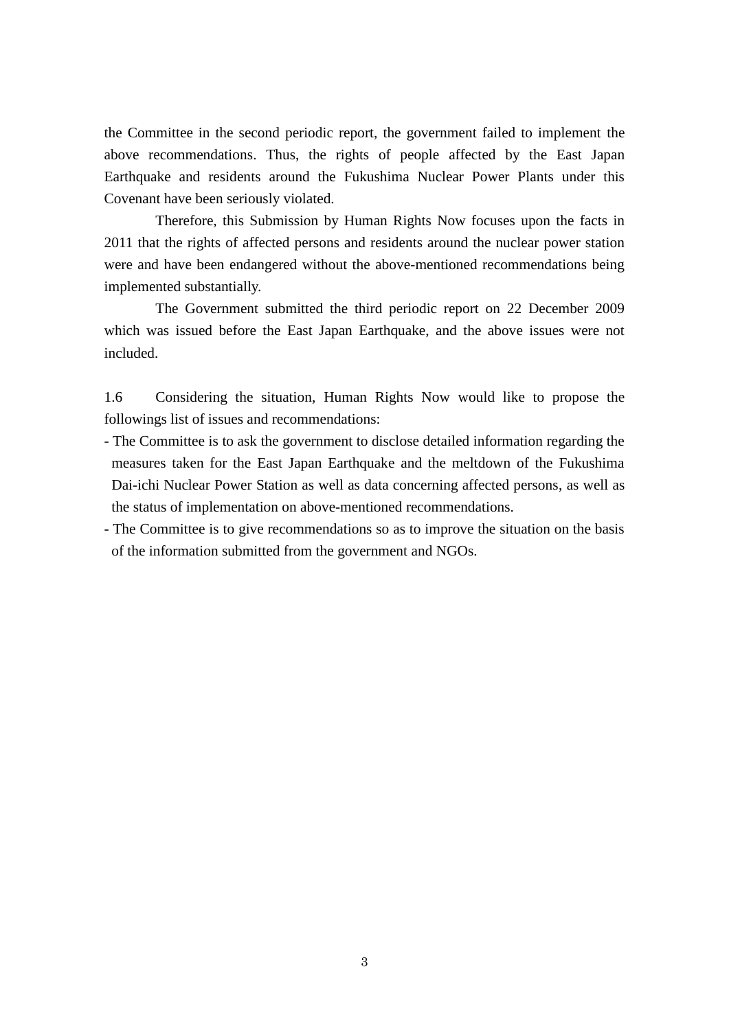the Committee in the second periodic report, the government failed to implement the above recommendations. Thus, the rights of people affected by the East Japan Earthquake and residents around the Fukushima Nuclear Power Plants under this Covenant have been seriously violated.

Therefore, this Submission by Human Rights Now focuses upon the facts in 2011 that the rights of affected persons and residents around the nuclear power station were and have been endangered without the above-mentioned recommendations being implemented substantially.

The Government submitted the third periodic report on 22 December 2009 which was issued before the East Japan Earthquake, and the above issues were not included.

1.6 Considering the situation, Human Rights Now would like to propose the followings list of issues and recommendations:

- The Committee is to ask the government to disclose detailed information regarding the measures taken for the East Japan Earthquake and the meltdown of the Fukushima Dai-ichi Nuclear Power Station as well as data concerning affected persons, as well as the status of implementation on above-mentioned recommendations.
- The Committee is to give recommendations so as to improve the situation on the basis of the information submitted from the government and NGOs.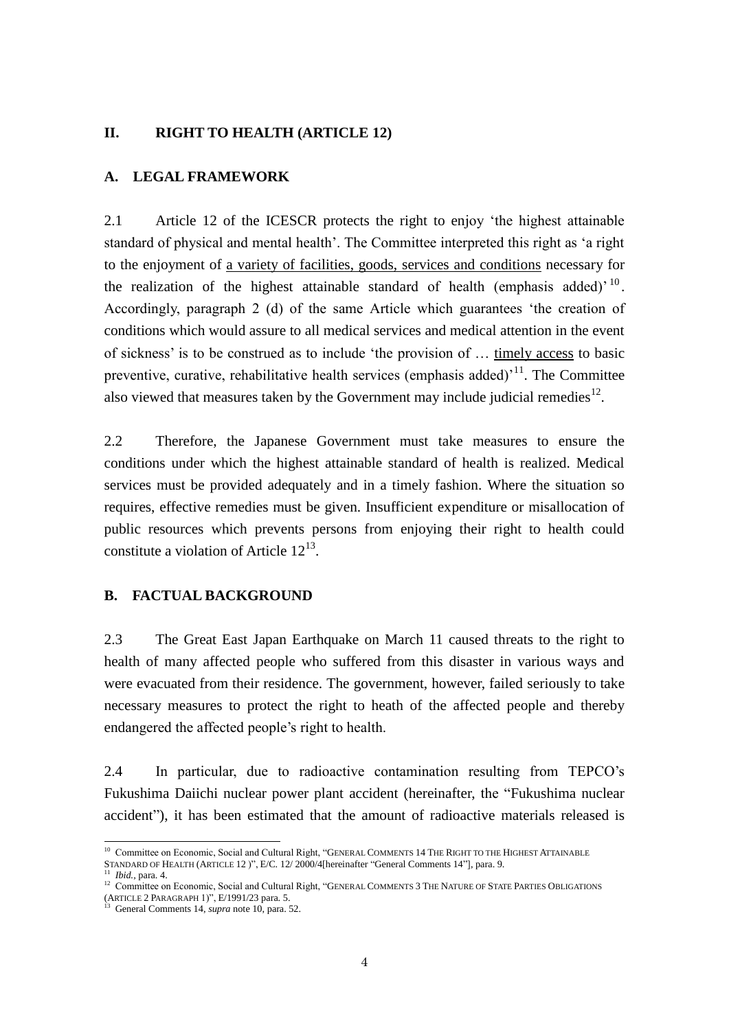# <span id="page-7-0"></span>**II. RIGHT TO HEALTH (ARTICLE 12)**

# <span id="page-7-1"></span>**A. LEGAL FRAMEWORK**

2.1 Article 12 of the ICESCR protects the right to enjoy 'the highest attainable standard of physical and mental health'. The Committee interpreted this right as 'a right to the enjoyment of a variety of facilities, goods, services and conditions necessary for the realization of the highest attainable standard of health (emphasis added)<sup> $10$ </sup>. Accordingly, paragraph 2 (d) of the same Article which guarantees 'the creation of conditions which would assure to all medical services and medical attention in the event of sickness' is to be construed as to include 'the provision of … timely access to basic preventive, curative, rehabilitative health services (emphasis added)<sup> $11$ </sup>. The Committee also viewed that measures taken by the Government may include judicial remedies $^{12}$ .

2.2 Therefore, the Japanese Government must take measures to ensure the conditions under which the highest attainable standard of health is realized. Medical services must be provided adequately and in a timely fashion. Where the situation so requires, effective remedies must be given. Insufficient expenditure or misallocation of public resources which prevents persons from enjoying their right to health could constitute a violation of Article  $12^{13}$ .

# <span id="page-7-2"></span>**B. FACTUAL BACKGROUND**

2.3 The Great East Japan Earthquake on March 11 caused threats to the right to health of many affected people who suffered from this disaster in various ways and were evacuated from their residence. The government, however, failed seriously to take necessary measures to protect the right to heath of the affected people and thereby endangered the affected people's right to health.

2.4 In particular, due to radioactive contamination resulting from TEPCO's Fukushima Daiichi nuclear power plant accident (hereinafter, the "Fukushima nuclear accident"), it has been estimated that the amount of radioactive materials released is

 $\overline{\phantom{a}}$ 

<sup>&</sup>lt;sup>10</sup> Committee on Economic, Social and Cultural Right, "GENERAL COMMENTS 14 THE RIGHT TO THE HIGHEST ATTAINABLE STANDARD OF HEALTH (ARTICLE 12 )", E/C. 12/ 2000/4[hereinafter "General Comments 14"], para. 9. <sup>11</sup> *Ibid.,* para. 4.

 $12$  Committee on Economic, Social and Cultural Right, "GENERAL COMMENTS 3 THE NATURE OF STATE PARTIES OBLIGATIONS

<sup>(</sup>ARTICLE 2 PARAGRAPH 1)", E/1991/23 para. 5. <sup>13</sup> General Comments 14, *supra* note 10, para. 52.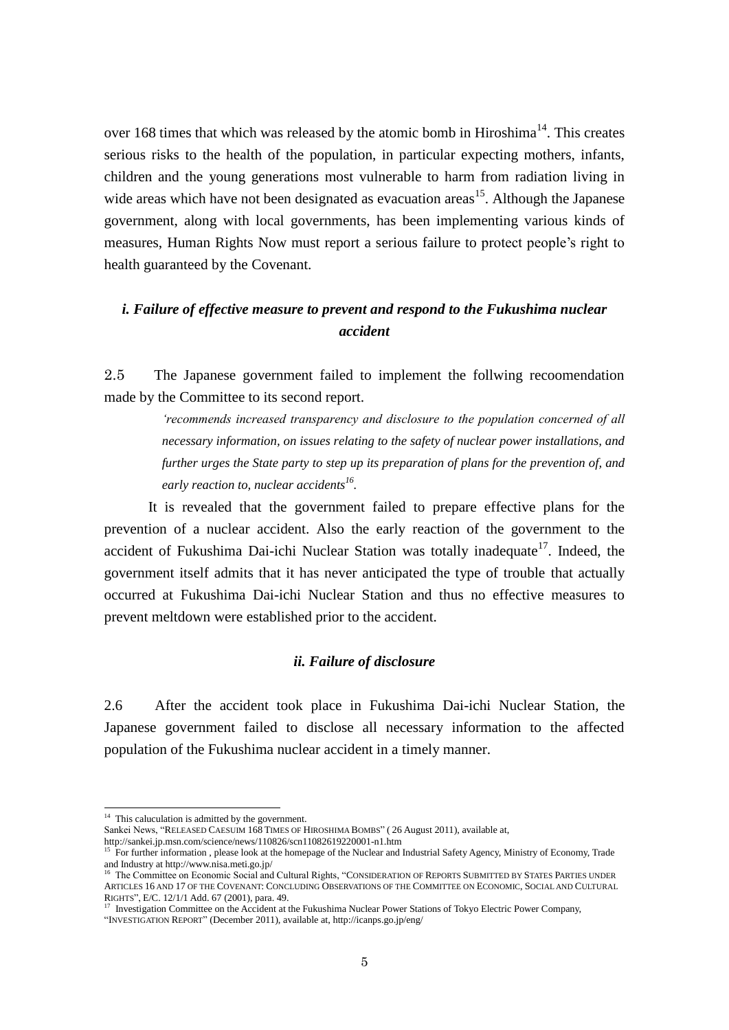over 168 times that which was released by the atomic bomb in Hiroshima<sup>14</sup>. This creates serious risks to the health of the population, in particular expecting mothers, infants, children and the young generations most vulnerable to harm from radiation living in wide areas which have not been designated as evacuation areas<sup>15</sup>. Although the Japanese government, along with local governments, has been implementing various kinds of measures, Human Rights Now must report a serious failure to protect people's right to health guaranteed by the Covenant.

# *i. Failure of effective measure to prevent and respond to the Fukushima nuclear accident*

2.5 The Japanese government failed to implement the follwing recoomendation made by the Committee to its second report.

> *'recommends increased transparency and disclosure to the population concerned of all necessary information, on issues relating to the safety of nuclear power installations, and further urges the State party to step up its preparation of plans for the prevention of, and early reaction to, nuclear accidents<sup>16</sup> .*

It is revealed that the government failed to prepare effective plans for the prevention of a nuclear accident. Also the early reaction of the government to the accident of Fukushima Dai-ichi Nuclear Station was totally inadequate<sup>17</sup>. Indeed, the government itself admits that it has never anticipated the type of trouble that actually occurred at Fukushima Dai-ichi Nuclear Station and thus no effective measures to prevent meltdown were established prior to the accident.

# *ii. Failure of disclosure*

2.6 After the accident took place in Fukushima Dai-ichi Nuclear Station, the Japanese government failed to disclose all necessary information to the affected population of the Fukushima nuclear accident in a timely manner.

-

Sankei News, "RELEASED CAESUIM 168 TIMES OF HIROSHIMA BOMBS" ( 26 August 2011), available at,

"INVESTIGATION REPORT" (December 2011), available at, http://icanps.go.jp/eng/

<sup>&</sup>lt;sup>14</sup> This caluculation is admitted by the government.

http://sankei.jp.msn.com/science/news/110826/scn11082619220001-n1.htm

<sup>15</sup> For further information , please look at the homepage of the Nuclear and Industrial Safety Agency, Ministry of Economy, Trade and Industry at http://www.nisa.meti.go.jp/

<sup>&</sup>lt;sup>5</sup> The Committee on Economic Social and Cultural Rights, "CONSIDERATION OF REPORTS SUBMITTED BY STATES PARTIES UNDER ARTICLES 16 AND 17 OF THE COVENANT: CONCLUDING OBSERVATIONS OF THE COMMITTEE ON ECONOMIC, SOCIAL AND CULTURAL RIGHTS", E/C. 12/1/1 Add. 67 (2001), para. 49.

<sup>&</sup>lt;sup>17</sup> Investigation Committee on the Accident at the Fukushima Nuclear Power Stations of Tokyo Electric Power Company,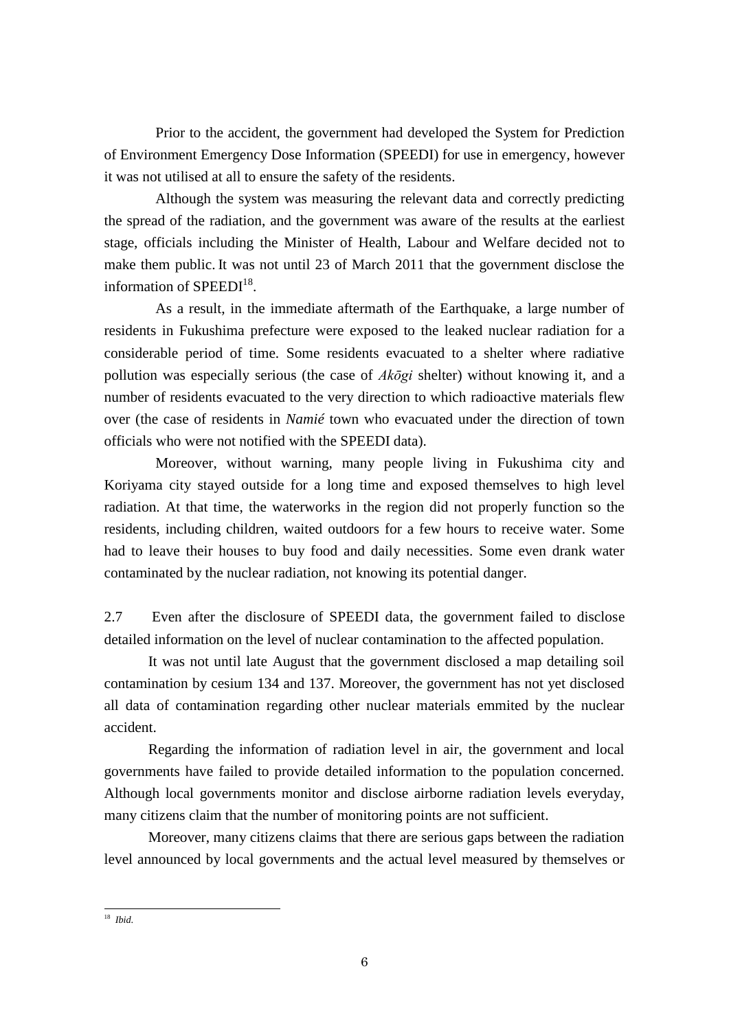Prior to the accident, the government had developed the System for Prediction of Environment Emergency Dose Information (SPEEDI) for use in emergency, however it was not utilised at all to ensure the safety of the residents.

Although the system was measuring the relevant data and correctly predicting the spread of the radiation, and the government was aware of the results at the earliest stage, officials including the Minister of Health, Labour and Welfare decided not to make them public. It was not until 23 of March 2011 that the government disclose the information of  $SPEEDI<sup>18</sup>$ .

As a result, in the immediate aftermath of the Earthquake, a large number of residents in Fukushima prefecture were exposed to the leaked nuclear radiation for a considerable period of time. Some residents evacuated to a shelter where radiative pollution was especially serious (the case of *Akōgi* shelter) without knowing it, and a number of residents evacuated to the very direction to which radioactive materials flew over (the case of residents in *Namié* town who evacuated under the direction of town officials who were not notified with the SPEEDI data).

Moreover, without warning, many people living in Fukushima city and Koriyama city stayed outside for a long time and exposed themselves to high level radiation. At that time, the waterworks in the region did not properly function so the residents, including children, waited outdoors for a few hours to receive water. Some had to leave their houses to buy food and daily necessities. Some even drank water contaminated by the nuclear radiation, not knowing its potential danger.

2.7 Even after the disclosure of SPEEDI data, the government failed to disclose detailed information on the level of nuclear contamination to the affected population.

It was not until late August that the government disclosed a map detailing soil contamination by cesium 134 and 137. Moreover, the government has not yet disclosed all data of contamination regarding other nuclear materials emmited by the nuclear accident.

Regarding the information of radiation level in air, the government and local governments have failed to provide detailed information to the population concerned. Although local governments monitor and disclose airborne radiation levels everyday, many citizens claim that the number of monitoring points are not sufficient.

Moreover, many citizens claims that there are serious gaps between the radiation level announced by local governments and the actual level measured by themselves or

<sup>-</sup><sup>18</sup> *Ibid*.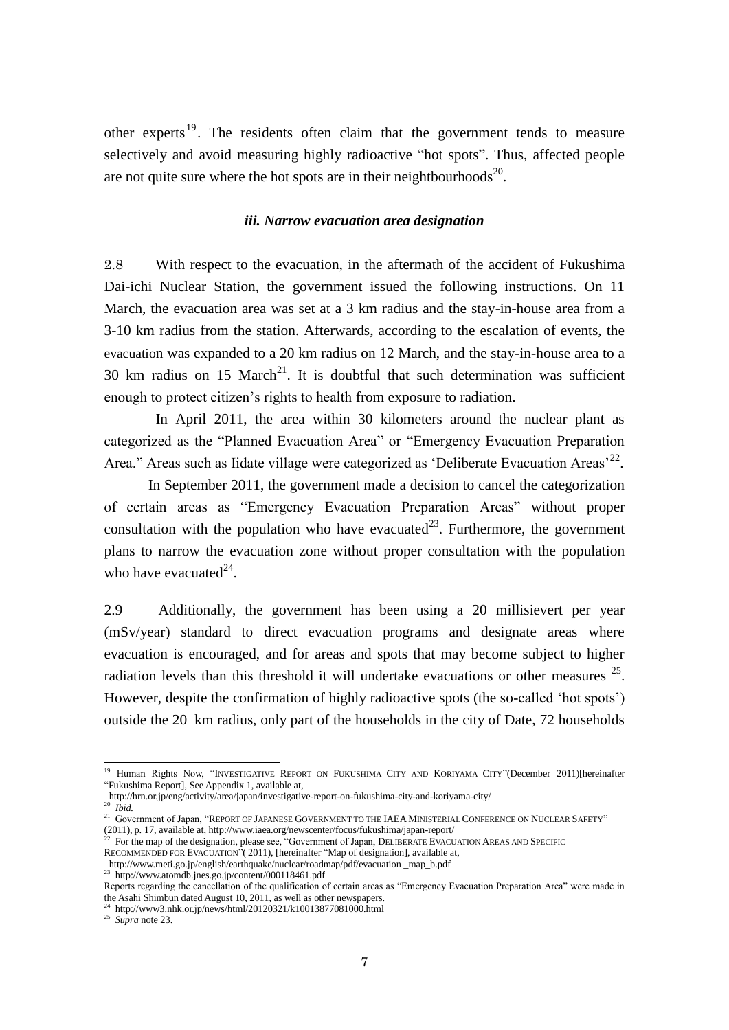other experts<sup>19</sup>. The residents often claim that the government tends to measure selectively and avoid measuring highly radioactive "hot spots". Thus, affected people are not quite sure where the hot spots are in their neightbourhoods<sup>20</sup>.

#### *iii. Narrow evacuation area designation*

2.8 With respect to the evacuation, in the aftermath of the accident of Fukushima Dai-ichi Nuclear Station, the government issued the following instructions. On 11 March, the evacuation area was set at a 3 km radius and the stay-in-house area from a 3-10 km radius from the station. Afterwards, according to the escalation of events, the evacuation was expanded to a 20 km radius on 12 March, and the stay-in-house area to a 30 km radius on 15 March<sup>21</sup>. It is doubtful that such determination was sufficient enough to protect citizen's rights to health from exposure to radiation.

In April 2011, the area within 30 kilometers around the nuclear plant as categorized as the "Planned Evacuation Area" or "Emergency Evacuation Preparation Area." Areas such as Iidate village were categorized as 'Deliberate Evacuation Areas'<sup>22</sup>.

In September 2011, the government made a decision to cancel the categorization of certain areas as "Emergency Evacuation Preparation Areas" without proper consultation with the population who have evacuated<sup>23</sup>. Furthermore, the government plans to narrow the evacuation zone without proper consultation with the population who have evacuated $^{24}$ .

2.9 Additionally, the government has been using a 20 millisievert per year (mSv/year) standard to direct evacuation programs and designate areas where evacuation is encouraged, and for areas and spots that may become subject to higher radiation levels than this threshold it will undertake evacuations or other measures  $25$ . However, despite the confirmation of highly radioactive spots (the so-called 'hot spots') outside the 20 km radius, only part of the households in the city of Date, 72 households

<sup>20</sup> *Ibid.*

-

<sup>23</sup> http://www.atomdb.jnes.go.jp/content/000118461.pdf

<sup>24</sup> http://www3.nhk.or.jp/news/html/20120321/k10013877081000.html

<sup>&</sup>lt;sup>19</sup> Human Rights Now, "INVESTIGATIVE REPORT ON FUKUSHIMA CITY AND KORIYAMA CITY"(December 2011)[hereinafter "Fukushima Report], See Appendix 1, available at,

http://hrn.or.jp/eng/activity/area/japan/investigative-report-on-fukushima-city-and-koriyama-city/

<sup>&</sup>lt;sup>21</sup> Government of Japan, "REPORT OF JAPANESE GOVERNMENT TO THE IAEA MINISTERIAL CONFERENCE ON NUCLEAR SAFETY" (2011), p. 17, available at, http://www.iaea.org/newscenter/focus/fukushima/japan-report/

 $22$  For the map of the designation, please see, "Government of Japan, DELIBERATE EVACUATION AREAS AND SPECIFIC RECOMMENDED FOR EVACUATION"(2011), [hereinafter "Map of designation], available at,

http://www.meti.go.jp/english/earthquake/nuclear/roadmap/pdf/evacuation \_map\_b.pdf

Reports regarding the cancellation of the qualification of certain areas as "Emergency Evacuation Preparation Area" were made in the Asahi Shimbun dated August 10, 2011, as well as other newspapers.

<sup>25</sup> *Supra* note 23.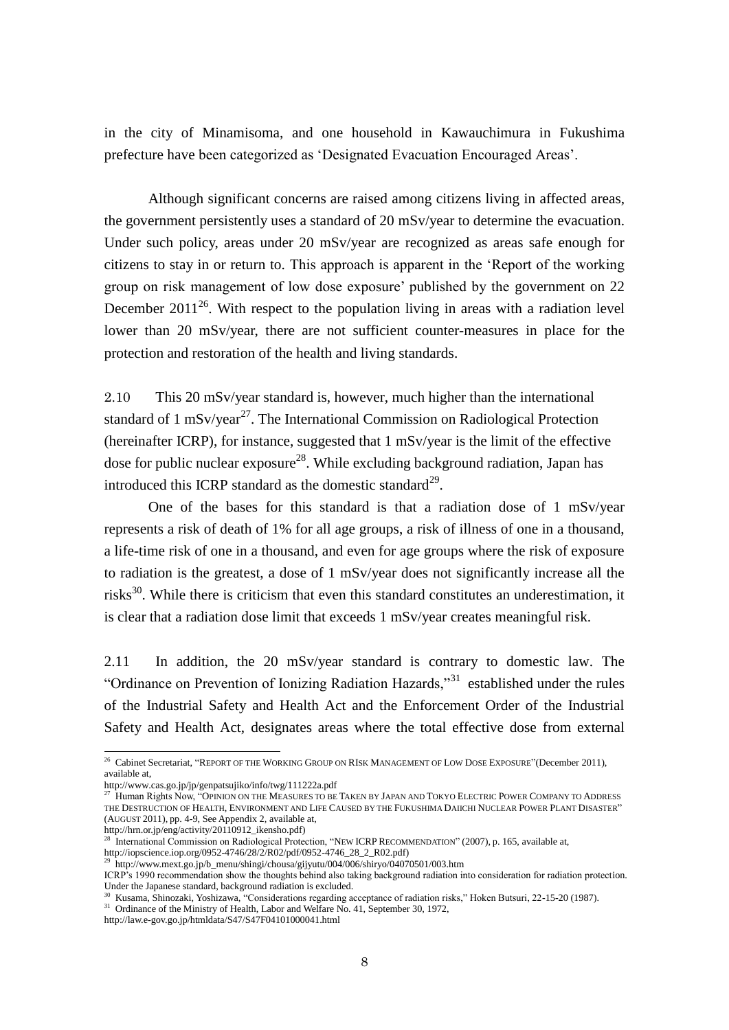in the city of Minamisoma, and one household in Kawauchimura in Fukushima prefecture have been categorized as 'Designated Evacuation Encouraged Areas'.

Although significant concerns are raised among citizens living in affected areas, the government persistently uses a standard of 20 mSv/year to determine the evacuation. Under such policy, areas under 20 mSv/year are recognized as areas safe enough for citizens to stay in or return to. This approach is apparent in the 'Report of the working group on risk management of low dose exposure' published by the government on 22 December 2011<sup>26</sup>. With respect to the population living in areas with a radiation level lower than 20 mSv/year, there are not sufficient counter-measures in place for the protection and restoration of the health and living standards.

2.10 This 20 mSv/year standard is, however, much higher than the international standard of  $1 \text{ mSv/year}^{27}$ . The International Commission on Radiological Protection (hereinafter ICRP), for instance, suggested that 1 mSv/year is the limit of the effective dose for public nuclear exposure<sup>28</sup>. While excluding background radiation, Japan has introduced this ICRP standard as the domestic standard<sup>29</sup>.

One of the bases for this standard is that a radiation dose of 1 mSv/year represents a risk of death of 1% for all age groups, a risk of illness of one in a thousand, a life-time risk of one in a thousand, and even for age groups where the risk of exposure to radiation is the greatest, a dose of 1 mSv/year does not significantly increase all the risks<sup>30</sup>. While there is criticism that even this standard constitutes an underestimation, it is clear that a radiation dose limit that exceeds 1 mSv/year creates meaningful risk.

2.11 In addition, the 20 mSv/year standard is contrary to domestic law. The "Ordinance on Prevention of Ionizing Radiation Hazards,"<sup>31</sup> established under the rules of the Industrial Safety and Health Act and the Enforcement Order of the Industrial Safety and Health Act, designates areas where the total effective dose from external

 $^{26}$  Cabinet Secretariat, "REPORT OF THE WORKING GROUP ON RISK MANAGEMENT OF LOW DOSE EXPOSURE"(December 2011), available at,

<http://www.cas.go.jp/jp/genpatsujiko/info/twg/111222a.pdf>

<sup>27</sup> Human Rights Now, "OPINION ON THE MEASURES TO BE TAKEN BY JAPAN AND TOKYO ELECTRIC POWER COMPANY TO ADDRESS THE DESTRUCTION OF HEALTH, ENVIRONMENT AND LIFE CAUSED BY THE FUKUSHIMA DAIICHI NUCLEAR POWER PLANT DISASTER" (AUGUST 2011), pp. 4-9, See Appendix 2, available at, http://hrn.or.jp/eng/activity/20110912\_ikensho.pdf)

<sup>28</sup> International Commission on Radiological Protection, "NEW ICRPRECOMMENDATION" (2007), p. 165, available at,

http://iopscience.iop.org/0952-4746/28/2/R02/pdf/0952-4746\_28\_2\_R02.pdf)

<sup>29</sup> http://www.mext.go.jp/b\_menu/shingi/chousa/gijyutu/004/006/shiryo/04070501/003.htm

ICRP's 1990 recommendation show the thoughts behind also taking background radiation into consideration for radiation protection. Under the Japanese standard, background radiation is excluded.

<sup>30</sup> Kusama, Shinozaki, Yoshizawa, "Considerations regarding acceptance of radiation risks," Hoken Butsuri, 22-15-20 (1987).

<sup>&</sup>lt;sup>31</sup> Ordinance of the Ministry of Health, Labor and Welfare No. 41, September 30, 1972,

http://law.e-gov.go.jp/htmldata/S47/S47F04101000041.html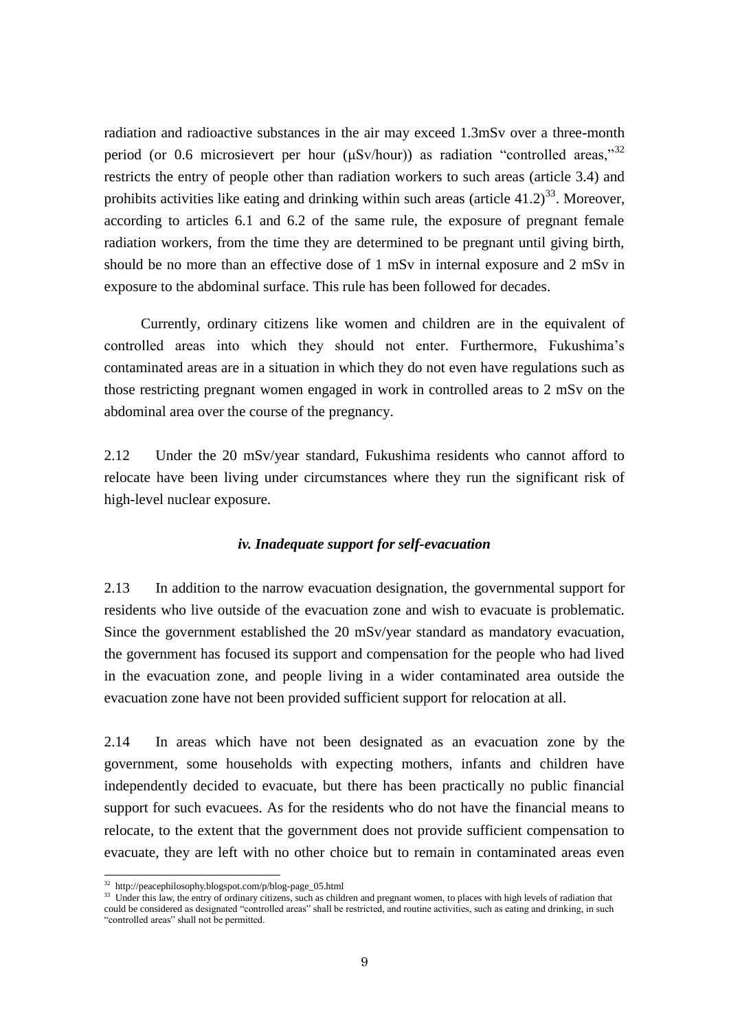radiation and radioactive substances in the air may exceed 1.3mSv over a three-month period (or 0.6 microsievert per hour  $(\mu Sv/hour)$ ) as radiation "controlled areas,"<sup>32</sup> restricts the entry of people other than radiation workers to such areas (article 3.4) and prohibits activities like eating and drinking within such areas (article  $41.2$ )<sup>33</sup>. Moreover, according to articles 6.1 and 6.2 of the same rule, the exposure of pregnant female radiation workers, from the time they are determined to be pregnant until giving birth, should be no more than an effective dose of 1 mSv in internal exposure and 2 mSv in exposure to the abdominal surface. This rule has been followed for decades.

 Currently, ordinary citizens like women and children are in the equivalent of controlled areas into which they should not enter. Furthermore, Fukushima's contaminated areas are in a situation in which they do not even have regulations such as those restricting pregnant women engaged in work in controlled areas to 2 mSv on the abdominal area over the course of the pregnancy.

2.12 Under the 20 mSv/year standard, Fukushima residents who cannot afford to relocate have been living under circumstances where they run the significant risk of high-level nuclear exposure.

#### *iv. Inadequate support for self-evacuation*

2.13 In addition to the narrow evacuation designation, the governmental support for residents who live outside of the evacuation zone and wish to evacuate is problematic. Since the government established the 20 mSv/year standard as mandatory evacuation, the government has focused its support and compensation for the people who had lived in the evacuation zone, and people living in a wider contaminated area outside the evacuation zone have not been provided sufficient support for relocation at all.

2.14 In areas which have not been designated as an evacuation zone by the government, some households with expecting mothers, infants and children have independently decided to evacuate, but there has been practically no public financial support for such evacuees. As for the residents who do not have the financial means to relocate, to the extent that the government does not provide sufficient compensation to evacuate, they are left with no other choice but to remain in contaminated areas even

<sup>32</sup> http://peacephilosophy.blogspot.com/p/blog-page\_05.html

<sup>&</sup>lt;sup>33</sup> Under this law, the entry of ordinary citizens, such as children and pregnant women, to places with high levels of radiation that could be considered as designated "controlled areas" shall be restricted, and routine activities, such as eating and drinking, in such "controlled areas" shall not be permitted.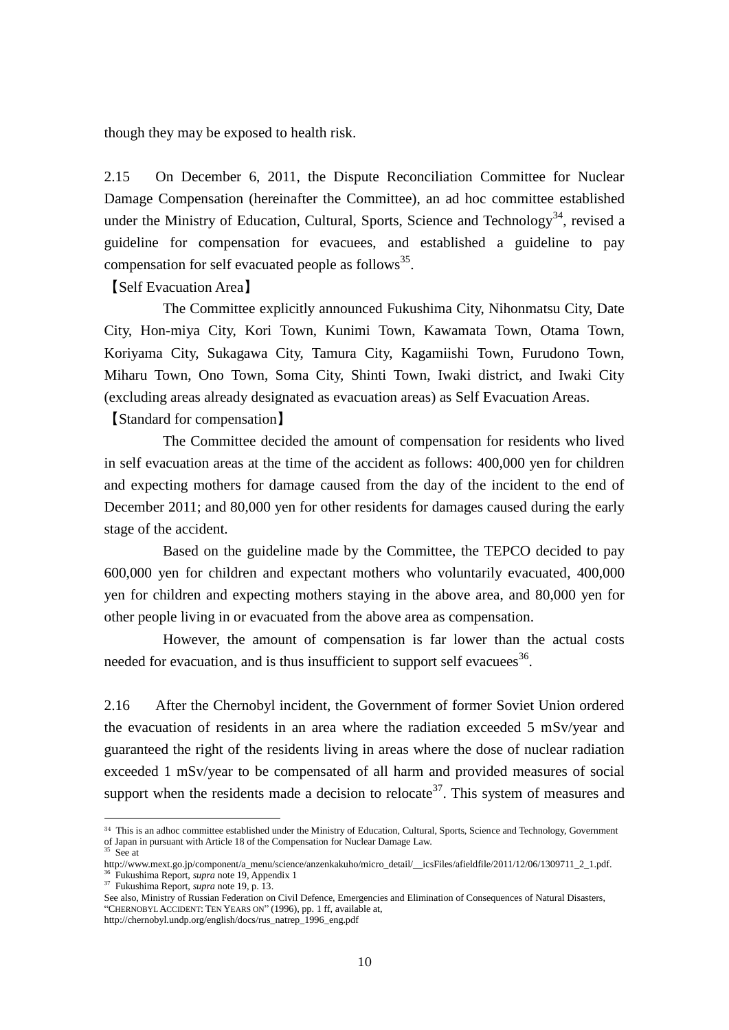though they may be exposed to health risk.

2.15 On December 6, 2011, the Dispute Reconciliation Committee for Nuclear Damage Compensation (hereinafter the Committee), an ad hoc committee established under the Ministry of Education, Cultural, Sports, Science and Technology<sup>34</sup>, revised a guideline for compensation for evacuees, and established a guideline to pay compensation for self evacuated people as follows<sup>35</sup>.

【Self Evacuation Area】

The Committee explicitly announced Fukushima City, Nihonmatsu City, Date City, Hon-miya City, Kori Town, Kunimi Town, Kawamata Town, Otama Town, Koriyama City, Sukagawa City, Tamura City, Kagamiishi Town, Furudono Town, Miharu Town, Ono Town, Soma City, Shinti Town, Iwaki district, and Iwaki City (excluding areas already designated as evacuation areas) as Self Evacuation Areas.

【Standard for compensation】

The Committee decided the amount of compensation for residents who lived in self evacuation areas at the time of the accident as follows: 400,000 yen for children and expecting mothers for damage caused from the day of the incident to the end of December 2011; and 80,000 yen for other residents for damages caused during the early stage of the accident.

Based on the guideline made by the Committee, the TEPCO decided to pay 600,000 yen for children and expectant mothers who voluntarily evacuated, 400,000 yen for children and expecting mothers staying in the above area, and 80,000 yen for other people living in or evacuated from the above area as compensation.

However, the amount of compensation is far lower than the actual costs needed for evacuation, and is thus insufficient to support self evacuees<sup>36</sup>.

2.16 After the Chernobyl incident, the Government of former Soviet Union ordered the evacuation of residents in an area where the radiation exceeded 5 mSv/year and guaranteed the right of the residents living in areas where the dose of nuclear radiation exceeded 1 mSv/year to be compensated of all harm and provided measures of social support when the residents made a decision to relocate<sup>37</sup>. This system of measures and

<sup>&</sup>lt;sup>34</sup> This is an adhoc committee established under the Ministry of Education, Cultural, Sports, Science and Technology, Government of Japan in pursuant with Article 18 of the Compensation for Nuclear Damage Law.

 $35$  See at

http://www.mext.go.jp/component/a\_menu/science/anzenkakuho/micro\_detail/\_\_icsFiles/afieldfile/2011/12/06/1309711\_2\_1.pdf. <sup>36</sup> Fukushima Report, *supra* note 19, Appendix 1

<sup>37</sup> Fukushima Report, *supra* note 19, p. 13.

See also, Ministry of Russian Federation on Civil Defence, Emergencies and Elimination of Consequences of Natural Disasters, "CHERNOBYL ACCIDENT: TEN YEARS ON" (1996), pp. 1 ff, available at,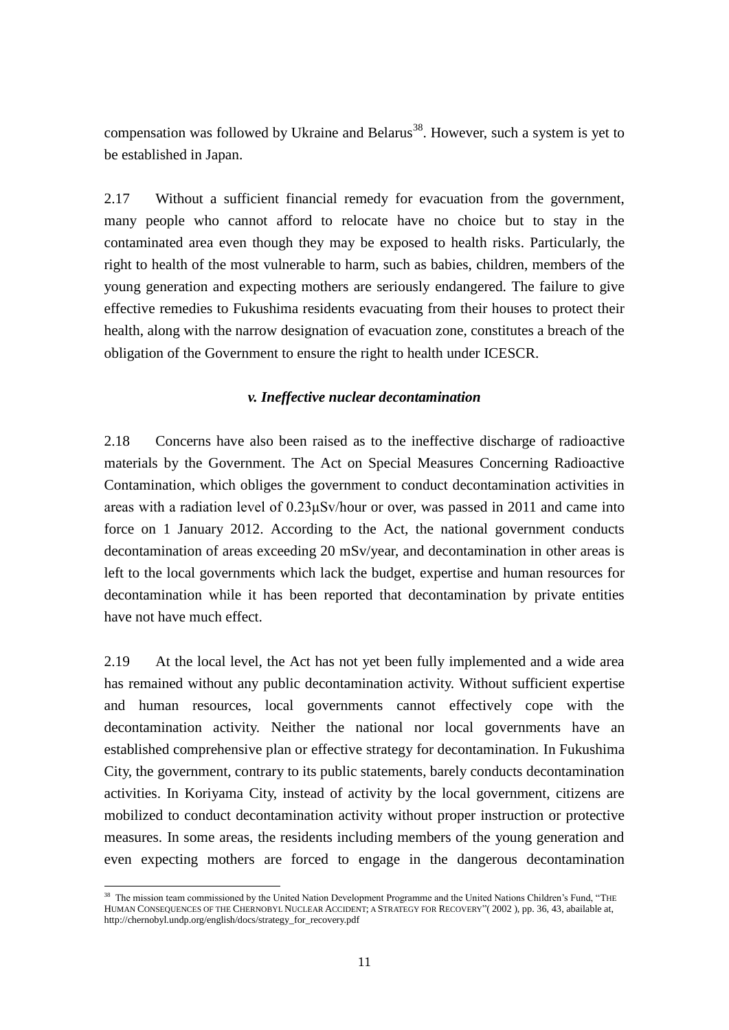compensation was followed by Ukraine and Belarus<sup>38</sup>. However, such a system is yet to be established in Japan.

2.17 Without a sufficient financial remedy for evacuation from the government, many people who cannot afford to relocate have no choice but to stay in the contaminated area even though they may be exposed to health risks. Particularly, the right to health of the most vulnerable to harm, such as babies, children, members of the young generation and expecting mothers are seriously endangered. The failure to give effective remedies to Fukushima residents evacuating from their houses to protect their health, along with the narrow designation of evacuation zone, constitutes a breach of the obligation of the Government to ensure the right to health under ICESCR.

# *v. Ineffective nuclear decontamination*

2.18 Concerns have also been raised as to the ineffective discharge of radioactive materials by the Government. The Act on Special Measures Concerning Radioactive Contamination, which obliges the government to conduct decontamination activities in areas with a radiation level of 0.23μSv/hour or over, was passed in 2011 and came into force on 1 January 2012. According to the Act, the national government conducts decontamination of areas exceeding 20 mSv/year, and decontamination in other areas is left to the local governments which lack the budget, expertise and human resources for decontamination while it has been reported that decontamination by private entities have not have much effect.

2.19 At the local level, the Act has not yet been fully implemented and a wide area has remained without any public decontamination activity. Without sufficient expertise and human resources, local governments cannot effectively cope with the decontamination activity. Neither the national nor local governments have an established comprehensive plan or effective strategy for decontamination. In Fukushima City, the government, contrary to its public statements, barely conducts decontamination activities. In Koriyama City, instead of activity by the local government, citizens are mobilized to conduct decontamination activity without proper instruction or protective measures. In some areas, the residents including members of the young generation and even expecting mothers are forced to engage in the dangerous decontamination

<sup>-</sup><sup>38</sup> The mission team commissioned by the United Nation Development Programme and the United Nations Children's Fund, "THE HUMAN CONSEQUENCES OF THE CHERNOBYL NUCLEAR ACCIDENT; A STRATEGY FOR RECOVERY"( 2002 ), pp. 36, 43, abailable at, http://chernobyl.undp.org/english/docs/strategy\_for\_recovery.pdf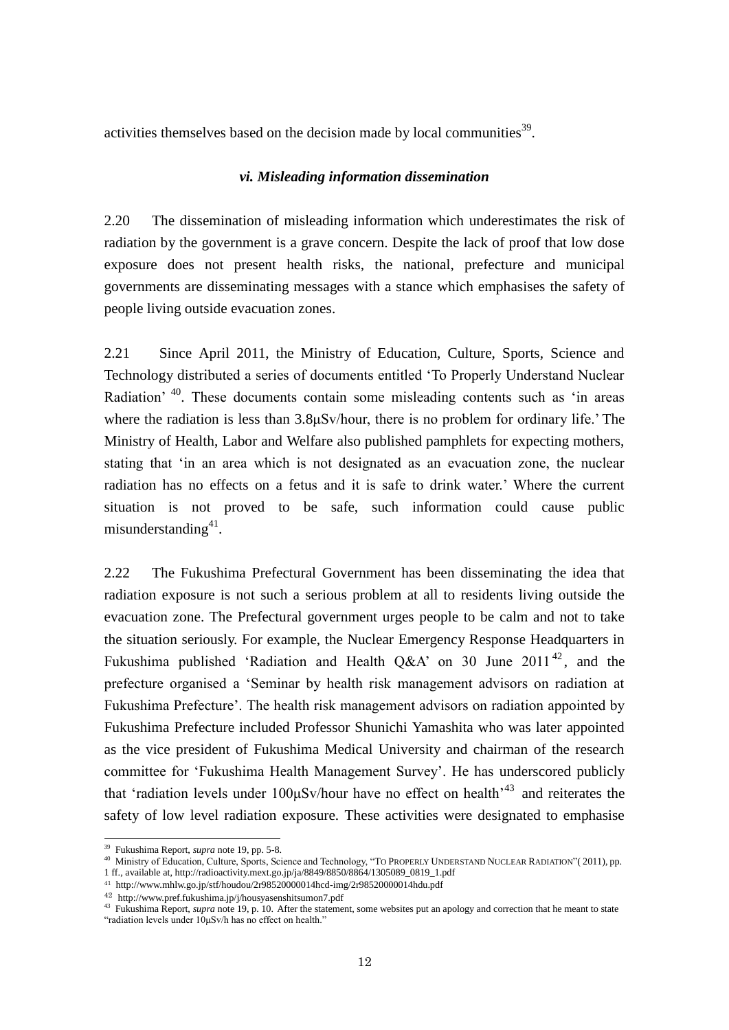activities themselves based on the decision made by local communities $^{39}$ .

### *vi. Misleading information dissemination*

2.20 The dissemination of misleading information which underestimates the risk of radiation by the government is a grave concern. Despite the lack of proof that low dose exposure does not present health risks, the national, prefecture and municipal governments are disseminating messages with a stance which emphasises the safety of people living outside evacuation zones.

2.21 Since April 2011, the Ministry of Education, Culture, Sports, Science and Technology distributed a series of documents entitled 'To Properly Understand Nuclear Radiation' <sup>40</sup>. These documents contain some misleading contents such as 'in areas where the radiation is less than 3.8μSv/hour, there is no problem for ordinary life.' The Ministry of Health, Labor and Welfare also published pamphlets for expecting mothers, stating that 'in an area which is not designated as an evacuation zone, the nuclear radiation has no effects on a fetus and it is safe to drink water.' Where the current situation is not proved to be safe, such information could cause public misunderstanding<sup>41</sup>.

2.22 The Fukushima Prefectural Government has been disseminating the idea that radiation exposure is not such a serious problem at all to residents living outside the evacuation zone. The Prefectural government urges people to be calm and not to take the situation seriously. For example, the Nuclear Emergency Response Headquarters in Fukushima published 'Radiation and Health Q&A' on 30 June  $2011^{42}$ , and the prefecture organised a 'Seminar by health risk management advisors on radiation at Fukushima Prefecture'. The health risk management advisors on radiation appointed by Fukushima Prefecture included Professor Shunichi Yamashita who was later appointed as the vice president of Fukushima Medical University and chairman of the research committee for 'Fukushima Health Management Survey'. He has underscored publicly that 'radiation levels under  $100\mu Sv/hour$  have no effect on health<sup>-43</sup> and reiterates the safety of low level radiation exposure. These activities were designated to emphasise

<sup>39</sup> Fukushima Report, *supra* note 19, pp. 5-8.

<sup>40</sup> Ministry of Education, Culture, Sports, Science and Technology, "TO PROPERLY UNDERSTAND NUCLEAR RADIATION"(2011), pp. 1 ff., available at, http://radioactivity.mext.go.jp/ja/8849/8850/8864/1305089\_0819\_1.pdf

<sup>41</sup> http://www.mhlw.go.jp/stf/houdou/2r98520000014hcd-img/2r98520000014hdu.pdf

<sup>42</sup> http://www.pref.fukushima.jp/j/housyasenshitsumon7.pdf

<sup>&</sup>lt;sup>43</sup> Fukushima Report, *supra* note 19, p. 10. After the statement, some websites put an apology and correction that he meant to state "radiation levels under 10μSv/h has no effect on health."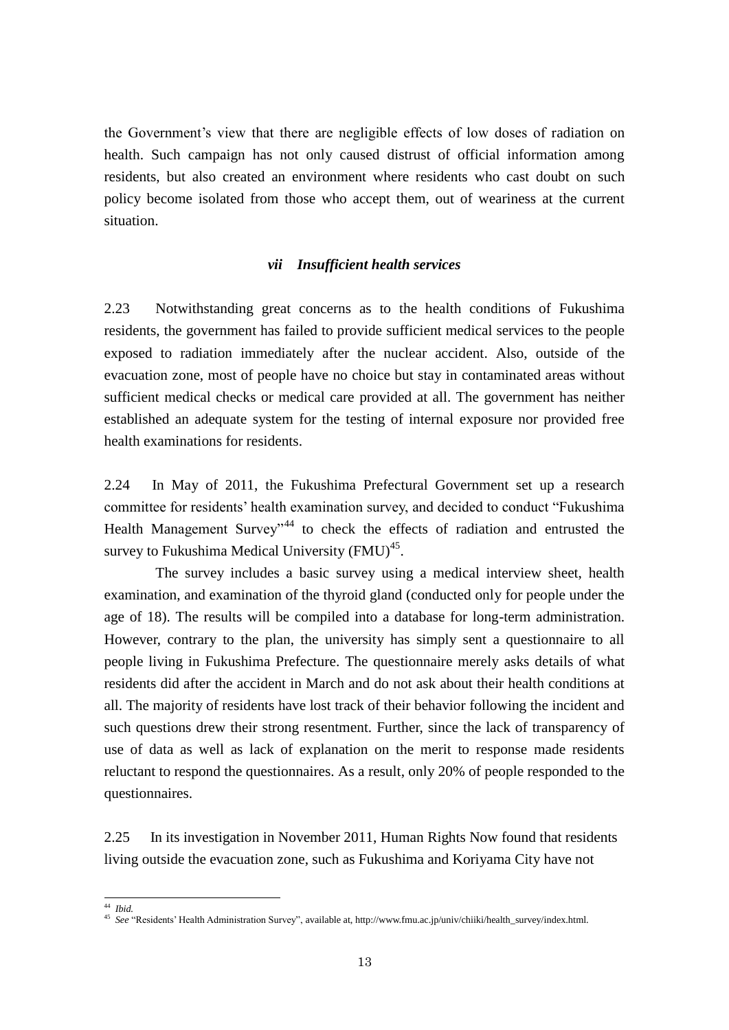the Government's view that there are negligible effects of low doses of radiation on health. Such campaign has not only caused distrust of official information among residents, but also created an environment where residents who cast doubt on such policy become isolated from those who accept them, out of weariness at the current situation.

#### *vii Insufficient health services*

2.23 Notwithstanding great concerns as to the health conditions of Fukushima residents, the government has failed to provide sufficient medical services to the people exposed to radiation immediately after the nuclear accident. Also, outside of the evacuation zone, most of people have no choice but stay in contaminated areas without sufficient medical checks or medical care provided at all. The government has neither established an adequate system for the testing of internal exposure nor provided free health examinations for residents.

2.24 In May of 2011, the Fukushima Prefectural Government set up a research committee for residents' health examination survey, and decided to conduct "Fukushima Health Management Survey<sup>344</sup> to check the effects of radiation and entrusted the survey to Fukushima Medical University  $(FMU)^{45}$ .

The survey includes a basic survey using a medical interview sheet, health examination, and examination of the thyroid gland (conducted only for people under the age of 18). The results will be compiled into a database for long-term administration. However, contrary to the plan, the university has simply sent a questionnaire to all people living in Fukushima Prefecture. The questionnaire merely asks details of what residents did after the accident in March and do not ask about their health conditions at all. The majority of residents have lost track of their behavior following the incident and such questions drew their strong resentment. Further, since the lack of transparency of use of data as well as lack of explanation on the merit to response made residents reluctant to respond the questionnaires. As a result, only 20% of people responded to the questionnaires.

2.25 In its investigation in November 2011, Human Rights Now found that residents living outside the evacuation zone, such as Fukushima and Koriyama City have not

 $\overline{\phantom{a}}$ 

<sup>44</sup> *Ibid.* 

<sup>45</sup> *See* "Residents' Health Administration Survey", available at, http://www.fmu.ac.jp/univ/chiiki/health\_survey/index.html.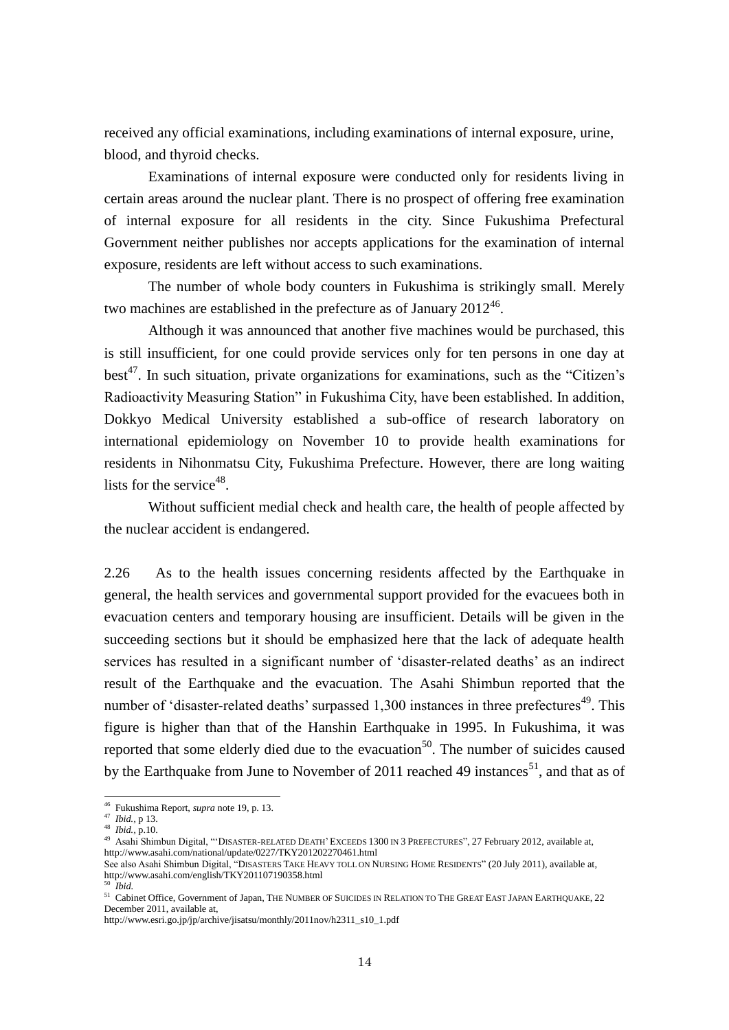received any official examinations, including examinations of internal exposure, urine, blood, and thyroid checks.

Examinations of internal exposure were conducted only for residents living in certain areas around the nuclear plant. There is no prospect of offering free examination of internal exposure for all residents in the city. Since Fukushima Prefectural Government neither publishes nor accepts applications for the examination of internal exposure, residents are left without access to such examinations.

The number of whole body counters in Fukushima is strikingly small. Merely two machines are established in the prefecture as of January  $2012^{46}$ .

Although it was announced that another five machines would be purchased, this is still insufficient, for one could provide services only for ten persons in one day at best<sup>47</sup>. In such situation, private organizations for examinations, such as the "Citizen's Radioactivity Measuring Station" in Fukushima City, have been established. In addition, Dokkyo Medical University established a sub-office of research laboratory on international epidemiology on November 10 to provide health examinations for residents in Nihonmatsu City, Fukushima Prefecture. However, there are long waiting lists for the service<sup>48</sup>.

Without sufficient medial check and health care, the health of people affected by the nuclear accident is endangered.

2.26 As to the health issues concerning residents affected by the Earthquake in general, the health services and governmental support provided for the evacuees both in evacuation centers and temporary housing are insufficient. Details will be given in the succeeding sections but it should be emphasized here that the lack of adequate health services has resulted in a significant number of 'disaster-related deaths' as an indirect result of the Earthquake and the evacuation. The Asahi Shimbun reported that the number of 'disaster-related deaths' surpassed  $1,300$  instances in three prefectures<sup>49</sup>. This figure is higher than that of the Hanshin Earthquake in 1995. In Fukushima, it was reported that some elderly died due to the evacuation<sup>50</sup>. The number of suicides caused by the Earthquake from June to November of 2011 reached 49 instances<sup>51</sup>, and that as of

 $\overline{\phantom{a}}$ 

<sup>46</sup> Fukushima Report, *supra* note 19, p. 13.

<sup>47</sup> *Ibid.,* p 13.

<sup>48</sup> *Ibid.,* p.10.

<sup>49</sup> Asahi Shimbun Digital, "'DISASTER-RELATED DEATH'EXCEEDS 1300 IN 3 PREFECTURES", 27 February 2012, available at, http://www.asahi.com/national/update/0227/TKY201202270461.html

See also Asahi Shimbun Digital, "DISASTERS TAKE HEAVY TOLL ON NURSING HOME RESIDENTS" (20 July 2011), available at, http://www.asahi.com/english/TKY201107190358.html <sup>50</sup> *Ibid.*

<sup>51</sup> Cabinet Office, Government of Japan, THE NUMBER OF SUICIDES IN RELATION TO THE GREAT EAST JAPAN EARTHQUAKE, 22 December 2011, available at,

http://www.esri.go.jp/jp/archive/jisatsu/monthly/2011nov/h2311\_s10\_1.pdf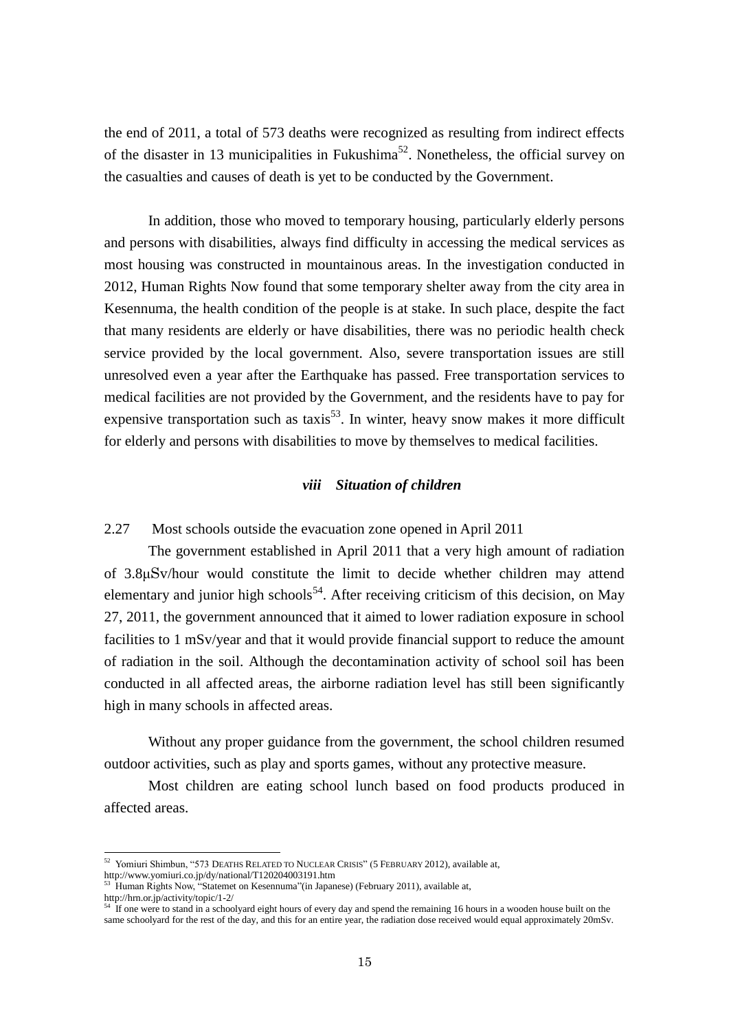the end of 2011, a total of 573 deaths were recognized as resulting from indirect effects of the disaster in 13 municipalities in Fukushima<sup>52</sup>. Nonetheless, the official survey on the casualties and causes of death is yet to be conducted by the Government.

In addition, those who moved to temporary housing, particularly elderly persons and persons with disabilities, always find difficulty in accessing the medical services as most housing was constructed in mountainous areas. In the investigation conducted in 2012, Human Rights Now found that some temporary shelter away from the city area in Kesennuma, the health condition of the people is at stake. In such place, despite the fact that many residents are elderly or have disabilities, there was no periodic health check service provided by the local government. Also, severe transportation issues are still unresolved even a year after the Earthquake has passed. Free transportation services to medical facilities are not provided by the Government, and the residents have to pay for expensive transportation such as taxis<sup>53</sup>. In winter, heavy snow makes it more difficult for elderly and persons with disabilities to move by themselves to medical facilities.

## *viii Situation of children*

# 2.27 Most schools outside the evacuation zone opened in April 2011

The government established in April 2011 that a very high amount of radiation of 3.8μSv/hour would constitute the limit to decide whether children may attend elementary and junior high schools<sup>54</sup>. After receiving criticism of this decision, on May 27, 2011, the government announced that it aimed to lower radiation exposure in school facilities to 1 mSv/year and that it would provide financial support to reduce the amount of radiation in the soil. Although the decontamination activity of school soil has been conducted in all affected areas, the airborne radiation level has still been significantly high in many schools in affected areas.

 Without any proper guidance from the government, the school children resumed outdoor activities, such as play and sports games, without any protective measure.

 Most children are eating school lunch based on food products produced in affected areas.

<sup>&</sup>lt;sup>52</sup> Yomiuri Shimbun, "573 DEATHS RELATED TO NUCLEAR CRISIS" (5 FEBRUARY 2012), available at,

http://www.yomiuri.co.jp/dy/national/T120204003191.htm

<sup>&</sup>lt;sup>53</sup> Human Rights Now, "Statemet on Kesennuma" (in Japanese) (February 2011), available at,

http://hrn.or.jp/activity/topic/1-2/

<sup>&</sup>lt;sup>54</sup> If one were to stand in a schoolyard eight hours of every day and spend the remaining 16 hours in a wooden house built on the same schoolyard for the rest of the day, and this for an entire year, the radiation dose received would equal approximately 20mSv.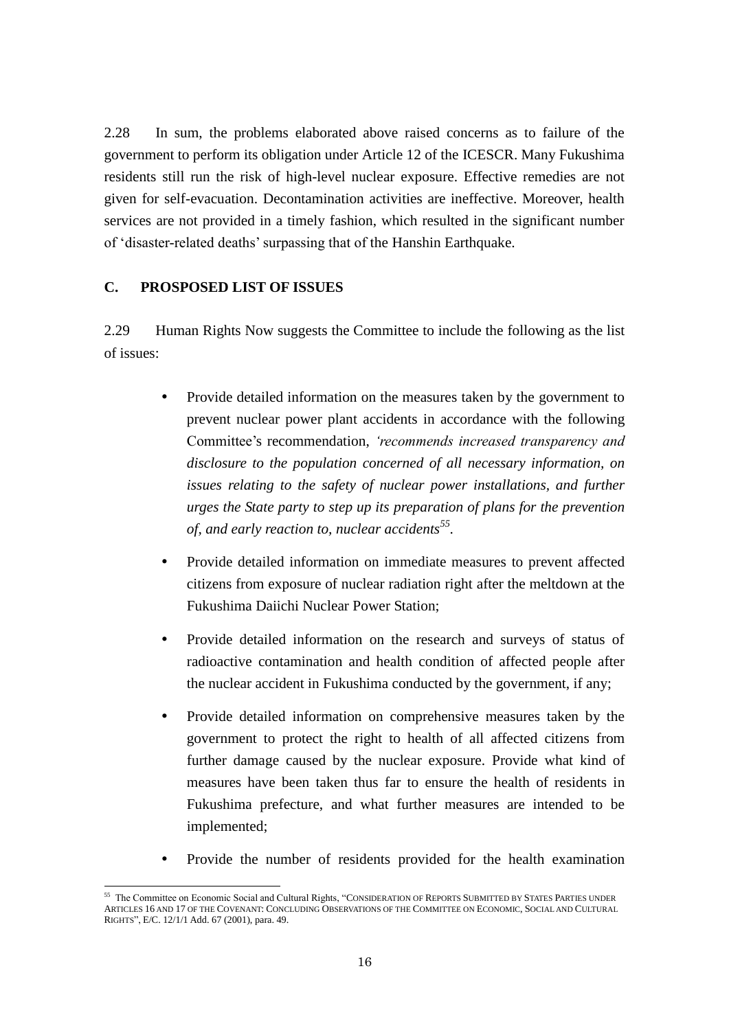2.28 In sum, the problems elaborated above raised concerns as to failure of the government to perform its obligation under Article 12 of the ICESCR. Many Fukushima residents still run the risk of high-level nuclear exposure. Effective remedies are not given for self-evacuation. Decontamination activities are ineffective. Moreover, health services are not provided in a timely fashion, which resulted in the significant number of 'disaster-related deaths' surpassing that of the Hanshin Earthquake.

# **C. PROSPOSED LIST OF ISSUES**

2.29 Human Rights Now suggests the Committee to include the following as the list of issues:

- Provide detailed information on the measures taken by the government to prevent nuclear power plant accidents in accordance with the following Committee's recommendation, *'recommends increased transparency and disclosure to the population concerned of all necessary information, on issues relating to the safety of nuclear power installations, and further urges the State party to step up its preparation of plans for the prevention of, and early reaction to, nuclear accidents<sup>55</sup> .*
- Provide detailed information on immediate measures to prevent affected citizens from exposure of nuclear radiation right after the meltdown at the Fukushima Daiichi Nuclear Power Station;
- Provide detailed information on the research and surveys of status of radioactive contamination and health condition of affected people after the nuclear accident in Fukushima conducted by the government, if any;
- Provide detailed information on comprehensive measures taken by the government to protect the right to health of all affected citizens from further damage caused by the nuclear exposure. Provide what kind of measures have been taken thus far to ensure the health of residents in Fukushima prefecture, and what further measures are intended to be implemented;
- Provide the number of residents provided for the health examination

<sup>-</sup><sup>55</sup> The Committee on Economic Social and Cultural Rights, "CONSIDERATION OF REPORTS SUBMITTED BY STATES PARTIES UNDER ARTICLES 16 AND 17 OF THE COVENANT: CONCLUDING OBSERVATIONS OF THE COMMITTEE ON ECONOMIC, SOCIAL AND CULTURAL RIGHTS", E/C. 12/1/1 Add. 67 (2001), para. 49.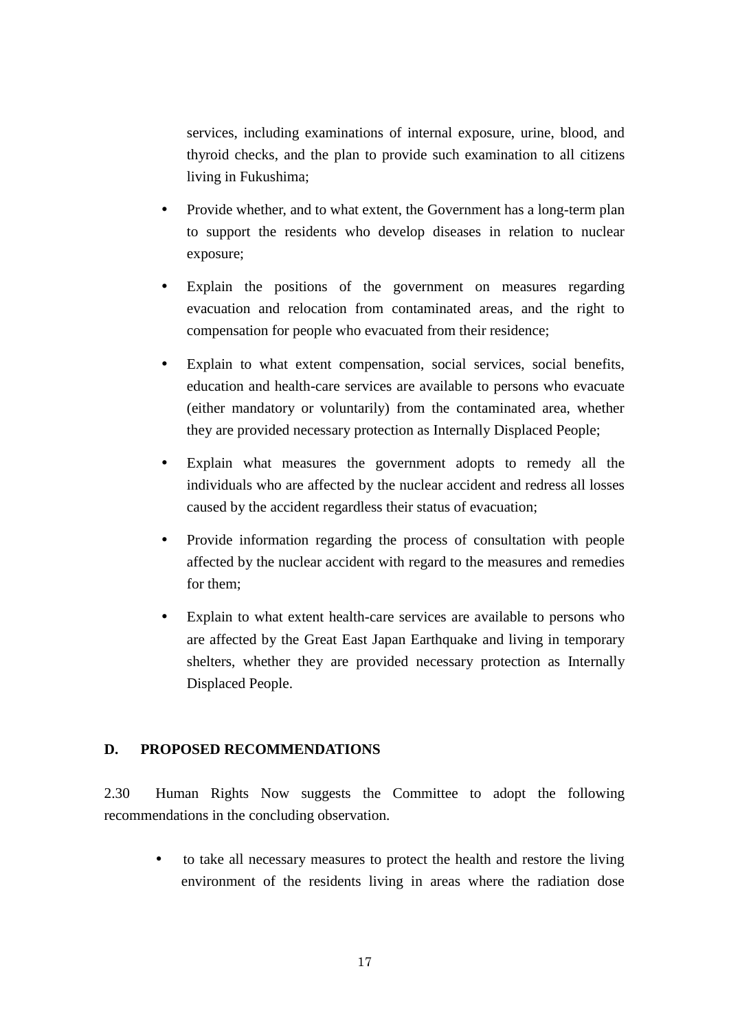services, including examinations of internal exposure, urine, blood, and thyroid checks, and the plan to provide such examination to all citizens living in Fukushima;

- Provide whether, and to what extent, the Government has a long-term plan to support the residents who develop diseases in relation to nuclear exposure;
- Explain the positions of the government on measures regarding evacuation and relocation from contaminated areas, and the right to compensation for people who evacuated from their residence;
- Explain to what extent compensation, social services, social benefits, education and health-care services are available to persons who evacuate (either mandatory or voluntarily) from the contaminated area, whether they are provided necessary protection as Internally Displaced People;
- Explain what measures the government adopts to remedy all the individuals who are affected by the nuclear accident and redress all losses caused by the accident regardless their status of evacuation;
- Provide information regarding the process of consultation with people affected by the nuclear accident with regard to the measures and remedies for them;
- Explain to what extent health-care services are available to persons who are affected by the Great East Japan Earthquake and living in temporary shelters, whether they are provided necessary protection as Internally Displaced People.

# **D. PROPOSED RECOMMENDATIONS**

2.30 Human Rights Now suggests the Committee to adopt the following recommendations in the concluding observation.

 to take all necessary measures to protect the health and restore the living environment of the residents living in areas where the radiation dose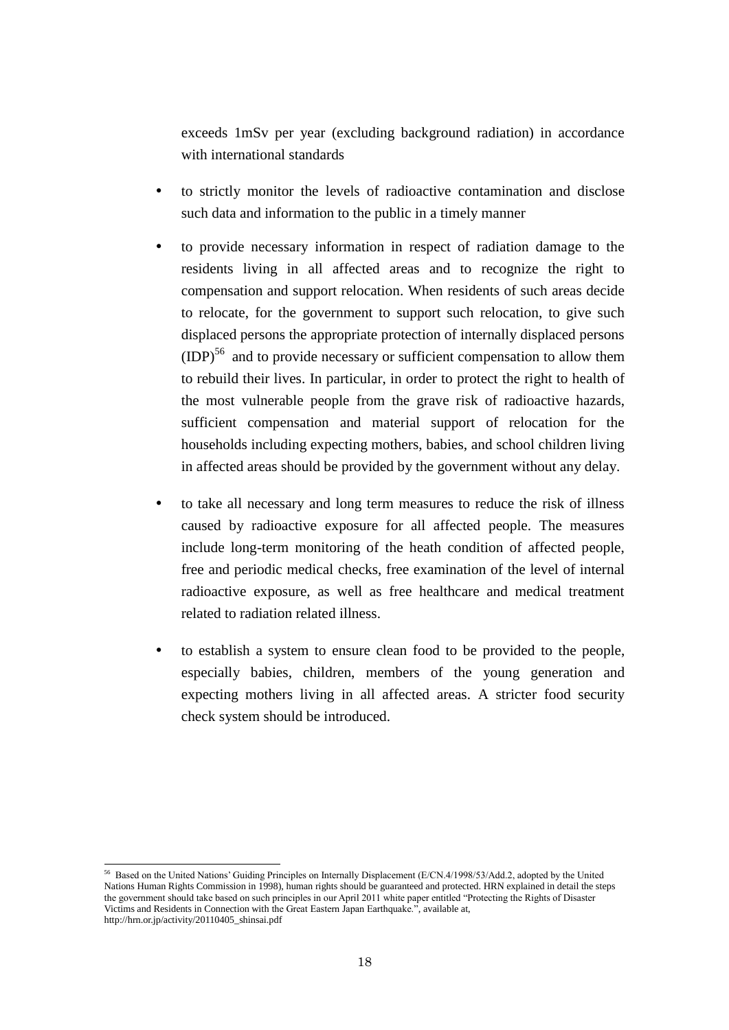exceeds 1mSv per year (excluding background radiation) in accordance with international standards

- to strictly monitor the levels of radioactive contamination and disclose such data and information to the public in a timely manner
- to provide necessary information in respect of radiation damage to the residents living in all affected areas and to recognize the right to compensation and support relocation. When residents of such areas decide to relocate, for the government to support such relocation, to give such displaced persons the appropriate protection of internally displaced persons  $(DP)<sup>56</sup>$  and to provide necessary or sufficient compensation to allow them to rebuild their lives. In particular, in order to protect the right to health of the most vulnerable people from the grave risk of radioactive hazards, sufficient compensation and material support of relocation for the households including expecting mothers, babies, and school children living in affected areas should be provided by the government without any delay.
- to take all necessary and long term measures to reduce the risk of illness caused by radioactive exposure for all affected people. The measures include long-term monitoring of the heath condition of affected people, free and periodic medical checks, free examination of the level of internal radioactive exposure, as well as free healthcare and medical treatment related to radiation related illness.
- to establish a system to ensure clean food to be provided to the people, especially babies, children, members of the young generation and expecting mothers living in all affected areas. A stricter food security check system should be introduced.

<sup>&</sup>lt;sup>56</sup> Based on the United Nations' Guiding Principles on Internally Displacement (E/CN.4/1998/53/Add.2, adopted by the United Nations Human Rights Commission in 1998), human rights should be guaranteed and protected. HRN explained in detail the steps the government should take based on such principles in our April 2011 white paper entitled "Protecting the Rights of Disaster Victims and Residents in Connection with the Great Eastern Japan Earthquake.", available at, http://hrn.or.jp/activity/20110405\_shinsai.pdf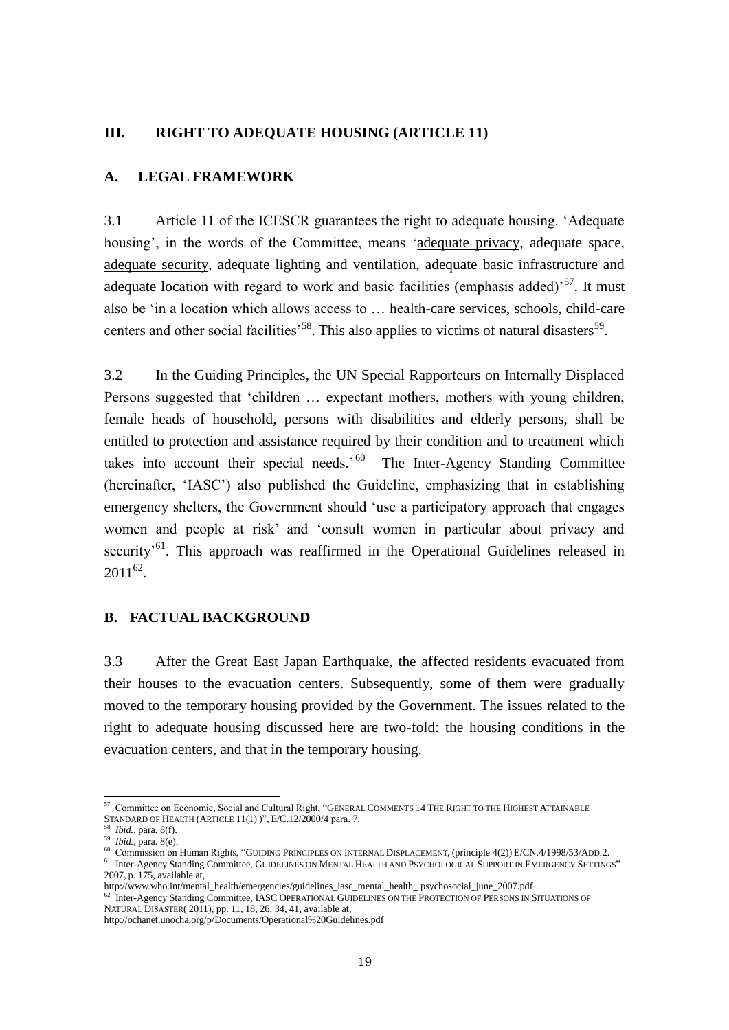# **III. RIGHT TO ADEQUATE HOUSING (ARTICLE 11)**

# **A. LEGAL FRAMEWORK**

3.1 Article 11 of the ICESCR guarantees the right to adequate housing. 'Adequate housing', in the words of the Committee, means 'adequate privacy, adequate space, adequate security, adequate lighting and ventilation, adequate basic infrastructure and adequate location with regard to work and basic facilities (emphasis added)<sup>57</sup>. It must also be 'in a location which allows access to … health-care services, schools, child-care centers and other social facilities<sup>58</sup>. This also applies to victims of natural disasters<sup>59</sup>.

3.2 In the Guiding Principles, the UN Special Rapporteurs on Internally Displaced Persons suggested that 'children … expectant mothers, mothers with young children, female heads of household, persons with disabilities and elderly persons, shall be entitled to protection and assistance required by their condition and to treatment which takes into account their special needs.<sup>'60</sup> The Inter-Agency Standing Committee (hereinafter, 'IASC') also published the Guideline, emphasizing that in establishing emergency shelters, the Government should 'use a participatory approach that engages women and people at risk' and 'consult women in particular about privacy and security<sup>'61</sup>. This approach was reaffirmed in the Operational Guidelines released in  $2011^{62}$ .

# **B. FACTUAL BACKGROUND**

3.3 After the Great East Japan Earthquake, the affected residents evacuated from their houses to the evacuation centers. Subsequently, some of them were gradually moved to the temporary housing provided by the Government. The issues related to the right to adequate housing discussed here are two-fold: the housing conditions in the evacuation centers, and that in the temporary housing.

 $\overline{\phantom{a}}$ 

<sup>&</sup>lt;sup>57</sup> Committee on Economic, Social and Cultural Right, "GENERAL COMMENTS 14 THE RIGHT TO THE HIGHEST ATTAINABLE STANDARD OF HEALTH (ARTICLE 11(1) )", E/C.12/2000/4 para. 7.

*Ibid.*, para. 8(f).

<sup>59</sup> *Ibid.,* para. 8(e).

<sup>&</sup>lt;sup>60</sup> Commission on Human Rights, "GUIDING PRINCIPLES ON INTERNAL DISPLACEMENT, (principle 4(2)) E/CN 4/1998/53/ADD.2.

<sup>61</sup> Inter-Agency Standing Committee, GUIDELINES ON MENTAL HEALTH AND PSYCHOLOGICAL SUPPORT IN EMERGENCY SETTINGS" 2007, p. 175, available at,

http://www.who.int/mental\_health/emergencies/guidelines\_iasc\_mental\_health\_ psychosocial\_june\_2007.pdf

<sup>&</sup>lt;sup>62</sup> Inter-Agency Standing Committee, IASC OPERATIONAL GUIDELINES ON THE PROTECTION OF PERSONS IN SITUATIONS OF NATURAL DISASTER( 2011), pp. 11, 18, 26, 34, 41, available at,

http://ochanet.unocha.org/p/Documents/Operational%20Guidelines.pdf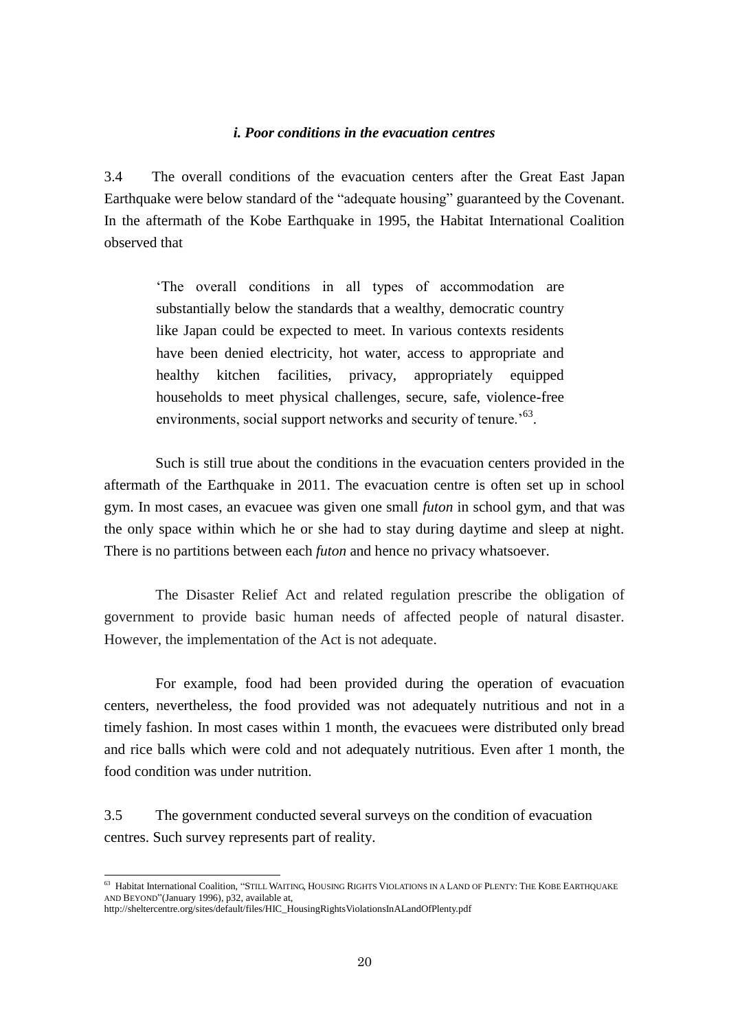#### *i. Poor conditions in the evacuation centres*

3.4 The overall conditions of the evacuation centers after the Great East Japan Earthquake were below standard of the "adequate housing" guaranteed by the Covenant. In the aftermath of the Kobe Earthquake in 1995, the Habitat International Coalition observed that

'The overall conditions in all types of accommodation are substantially below the standards that a wealthy, democratic country like Japan could be expected to meet. In various contexts residents have been denied electricity, hot water, access to appropriate and healthy kitchen facilities, privacy, appropriately equipped households to meet physical challenges, secure, safe, violence-free environments, social support networks and security of tenure.<sup>'63</sup>.

Such is still true about the conditions in the evacuation centers provided in the aftermath of the Earthquake in 2011. The evacuation centre is often set up in school gym. In most cases, an evacuee was given one small *futon* in school gym, and that was the only space within which he or she had to stay during daytime and sleep at night. There is no partitions between each *futon* and hence no privacy whatsoever.

The Disaster Relief Act and related regulation prescribe the obligation of government to provide basic human needs of affected people of natural disaster. However, the implementation of the Act is not adequate.

For example, food had been provided during the operation of evacuation centers, nevertheless, the food provided was not adequately nutritious and not in a timely fashion. In most cases within 1 month, the evacuees were distributed only bread and rice balls which were cold and not adequately nutritious. Even after 1 month, the food condition was under nutrition.

3.5 The government conducted several surveys on the condition of evacuation centres. Such survey represents part of reality.

<sup>63</sup> Habitat International Coalition, "STILL WAITING, HOUSING RIGHTS VIOLATIONS IN A LAND OF PLENTY: THE KOBE EARTHQUAKE AND BEYOND"(January 1996), p32, available at,

http://sheltercentre.org/sites/default/files/HIC\_HousingRightsViolationsInALandOfPlenty.pdf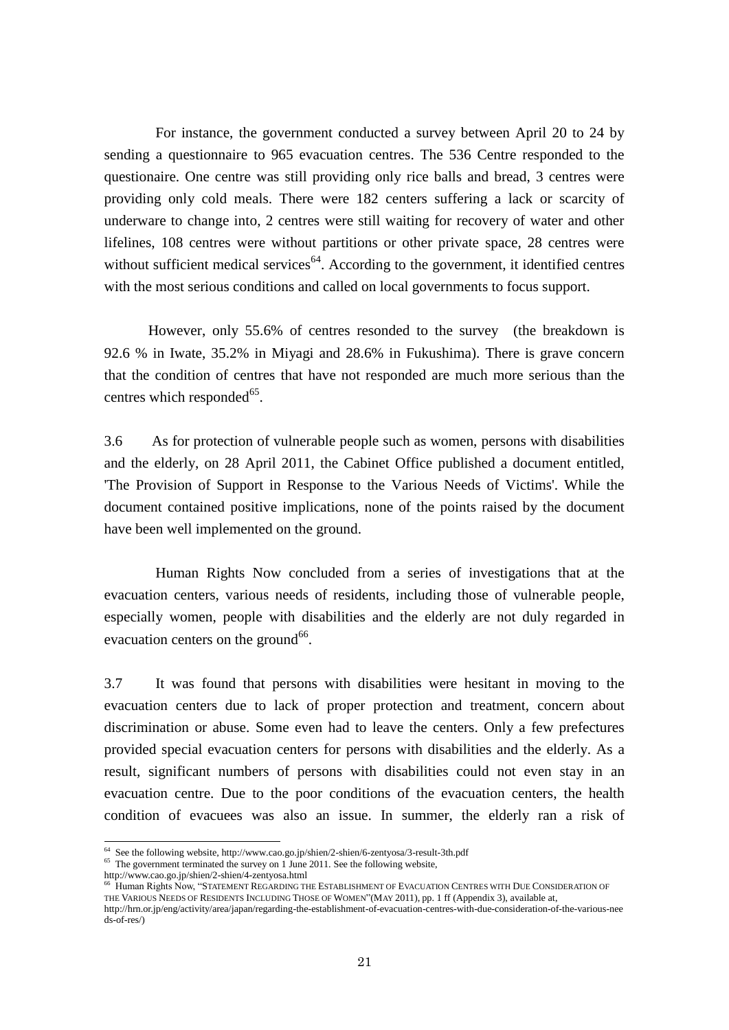For instance, the government conducted a survey between April 20 to 24 by sending a questionnaire to 965 evacuation centres. The 536 Centre responded to the questionaire. One centre was still providing only rice balls and bread, 3 centres were providing only cold meals. There were 182 centers suffering a lack or scarcity of underware to change into, 2 centres were still waiting for recovery of water and other lifelines, 108 centres were without partitions or other private space, 28 centres were without sufficient medical services $64$ . According to the government, it identified centres with the most serious conditions and called on local governments to focus support.

 However, only 55.6% of centres resonded to the survey (the breakdown is 92.6 % in Iwate, 35.2% in Miyagi and 28.6% in Fukushima). There is grave concern that the condition of centres that have not responded are much more serious than the centres which responded<sup>65</sup>.

3.6 As for protection of vulnerable people such as women, persons with disabilities and the elderly, on 28 April 2011, the Cabinet Office published a document entitled, 'The Provision of Support in Response to the Various Needs of Victims'. While the document contained positive implications, none of the points raised by the document have been well implemented on the ground.

Human Rights Now concluded from a series of investigations that at the evacuation centers, various needs of residents, including those of vulnerable people, especially women, people with disabilities and the elderly are not duly regarded in evacuation centers on the ground  $66$ .

3.7 It was found that persons with disabilities were hesitant in moving to the evacuation centers due to lack of proper protection and treatment, concern about discrimination or abuse. Some even had to leave the centers. Only a few prefectures provided special evacuation centers for persons with disabilities and the elderly. As a result, significant numbers of persons with disabilities could not even stay in an evacuation centre. Due to the poor conditions of the evacuation centers, the health condition of evacuees was also an issue. In summer, the elderly ran a risk of

 $\overline{\phantom{a}}$ 

<sup>64</sup> See the following website, http://www.cao.go.jp/shien/2-shien/6-zentyosa/3-result-3th.pdf

<sup>&</sup>lt;sup>65</sup> The government terminated the survey on 1 June 2011. See the following website,

http://www.cao.go.jp/shien/2-shien/4-zentyosa.html

<sup>66</sup> Human Rights Now, "STATEMENT REGARDING THE ESTABLISHMENT OF EVACUATION CENTRES WITH DUE CONSIDERATION OF THE VARIOUS NEEDS OF RESIDENTS INCLUDING THOSE OF WOMEN"(MAY 2011), pp. 1 ff (Appendix 3), available at,

http://hrn.or.jp/eng/activity/area/japan/regarding-the-establishment-of-evacuation-centres-with-due-consideration-of-the-various-nee ds-of-res/)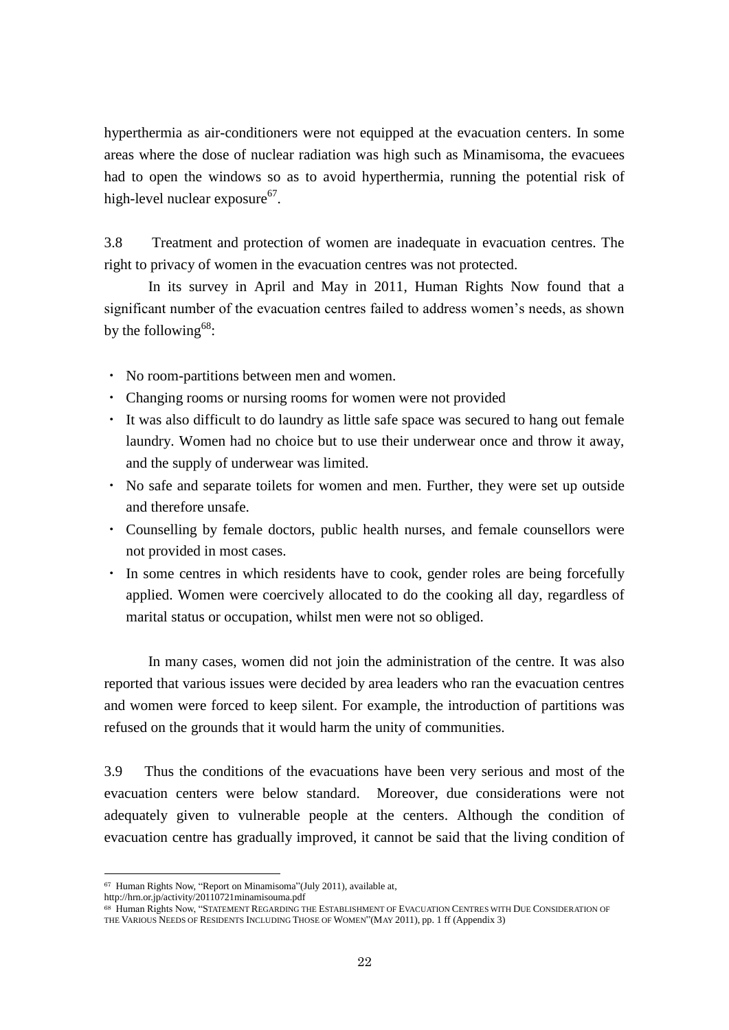hyperthermia as air-conditioners were not equipped at the evacuation centers. In some areas where the dose of nuclear radiation was high such as Minamisoma, the evacuees had to open the windows so as to avoid hyperthermia, running the potential risk of high-level nuclear exposure<sup>67</sup>.

3.8 Treatment and protection of women are inadequate in evacuation centres. The right to privacy of women in the evacuation centres was not protected.

 In its survey in April and May in 2011, Human Rights Now found that a significant number of the evacuation centres failed to address women's needs, as shown by the following<sup>68</sup>:

- ・ No room-partitions between men and women.
- ・ Changing rooms or nursing rooms for women were not provided
- ・ It was also difficult to do laundry as little safe space was secured to hang out female laundry. Women had no choice but to use their underwear once and throw it away, and the supply of underwear was limited.
- ・ No safe and separate toilets for women and men. Further, they were set up outside and therefore unsafe.
- ・ Counselling by female doctors, public health nurses, and female counsellors were not provided in most cases.
- ・ In some centres in which residents have to cook, gender roles are being forcefully applied. Women were coercively allocated to do the cooking all day, regardless of marital status or occupation, whilst men were not so obliged.

In many cases, women did not join the administration of the centre. It was also reported that various issues were decided by area leaders who ran the evacuation centres and women were forced to keep silent. For example, the introduction of partitions was refused on the grounds that it would harm the unity of communities.

3.9 Thus the conditions of the evacuations have been very serious and most of the evacuation centers were below standard. Moreover, due considerations were not adequately given to vulnerable people at the centers. Although the condition of evacuation centre has gradually improved, it cannot be said that the living condition of

<sup>67</sup> Human Rights Now, "Report on Minamisoma"(July 2011), available at,

http://hrn.or.jp/activity/20110721minamisouma.pdf

<sup>68</sup> Human Rights Now, "STATEMENT REGARDING THE ESTABLISHMENT OF EVACUATION CENTRES WITH DUE CONSIDERATION OF THE VARIOUS NEEDS OF RESIDENTS INCLUDING THOSE OF WOMEN"(MAY 2011), pp. 1 ff (Appendix 3)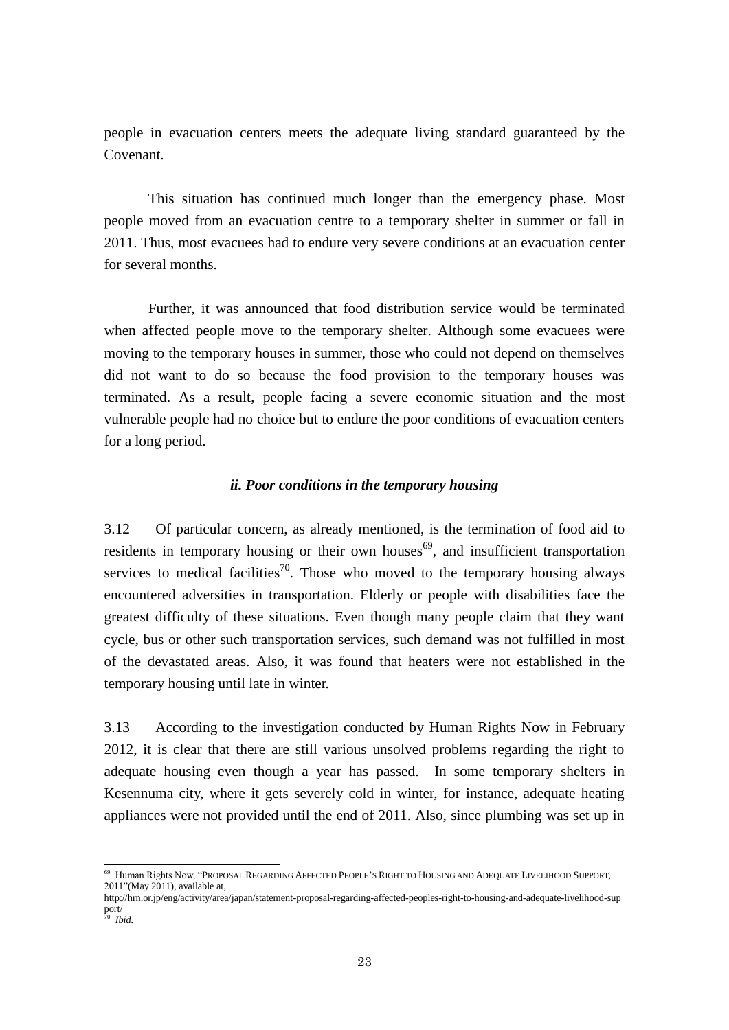people in evacuation centers meets the adequate living standard guaranteed by the Covenant.

This situation has continued much longer than the emergency phase. Most people moved from an evacuation centre to a temporary shelter in summer or fall in 2011. Thus, most evacuees had to endure very severe conditions at an evacuation center for several months.

Further, it was announced that food distribution service would be terminated when affected people move to the temporary shelter. Although some evacuees were moving to the temporary houses in summer, those who could not depend on themselves did not want to do so because the food provision to the temporary houses was terminated. As a result, people facing a severe economic situation and the most vulnerable people had no choice but to endure the poor conditions of evacuation centers for a long period.

### *ii. Poor conditions in the temporary housing*

3.12 Of particular concern, as already mentioned, is the termination of food aid to residents in temporary housing or their own houses $^{69}$ , and insufficient transportation services to medical facilities<sup>70</sup>. Those who moved to the temporary housing always encountered adversities in transportation. Elderly or people with disabilities face the greatest difficulty of these situations. Even though many people claim that they want cycle, bus or other such transportation services, such demand was not fulfilled in most of the devastated areas. Also, it was found that heaters were not established in the temporary housing until late in winter.

3.13 According to the investigation conducted by Human Rights Now in February 2012, it is clear that there are still various unsolved problems regarding the right to adequate housing even though a year has passed. In some temporary shelters in Kesennuma city, where it gets severely cold in winter, for instance, adequate heating appliances were not provided until the end of 2011. Also, since plumbing was set up in

<sup>69</sup> Human Rights Now, "PROPOSAL REGARDING AFFECTED PEOPLE'S RIGHT TO HOUSING AND ADEQUATE LIVELIHOOD SUPPORT, 2011"(May 2011), available at,

http://hrn.or.jp/eng/activity/area/japan/statement-proposal-regarding-affected-peoples-right-to-housing-and-adequate-livelihood-sup port/

<sup>70</sup> *Ibid.*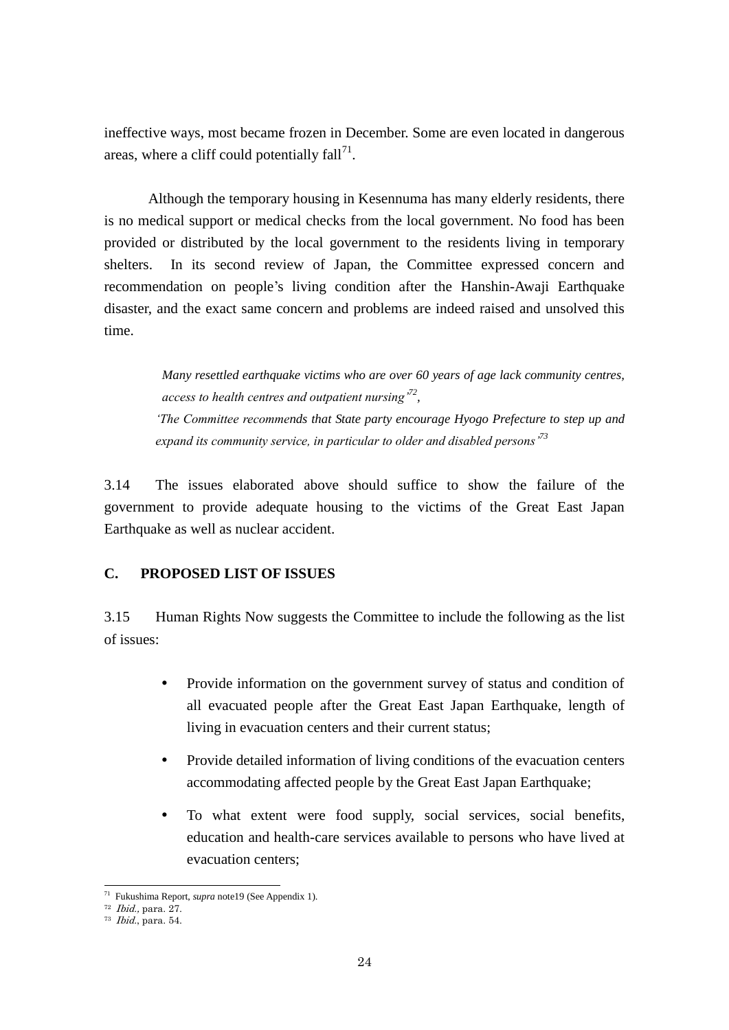ineffective ways, most became frozen in December. Some are even located in dangerous areas, where a cliff could potentially  $fall<sup>71</sup>$ .

 Although the temporary housing in Kesennuma has many elderly residents, there is no medical support or medical checks from the local government. No food has been provided or distributed by the local government to the residents living in temporary shelters. In its second review of Japan, the Committee expressed concern and recommendation on people's living condition after the Hanshin-Awaji Earthquake disaster, and the exact same concern and problems are indeed raised and unsolved this time.

*Many resettled earthquake victims who are over 60 years of age lack community centres, access to health centres and outpatient nursing'<sup>72</sup> , 'The Committee recommends that State party encourage Hyogo Prefecture to step up and expand its community service, in particular to older and disabled persons'<sup>73</sup>*

3.14 The issues elaborated above should suffice to show the failure of the government to provide adequate housing to the victims of the Great East Japan Earthquake as well as nuclear accident.

# **C. PROPOSED LIST OF ISSUES**

3.15 Human Rights Now suggests the Committee to include the following as the list of issues:

- Provide information on the government survey of status and condition of all evacuated people after the Great East Japan Earthquake, length of living in evacuation centers and their current status;
- Provide detailed information of living conditions of the evacuation centers accommodating affected people by the Great East Japan Earthquake;
- To what extent were food supply, social services, social benefits, education and health-care services available to persons who have lived at evacuation centers;

 $\overline{a}$ 

<sup>71</sup> Fukushima Report, *supra* note19 (See Appendix 1).

<sup>72</sup> Ibid., para. 27.

 $73$  *Ibid.*, para. 54.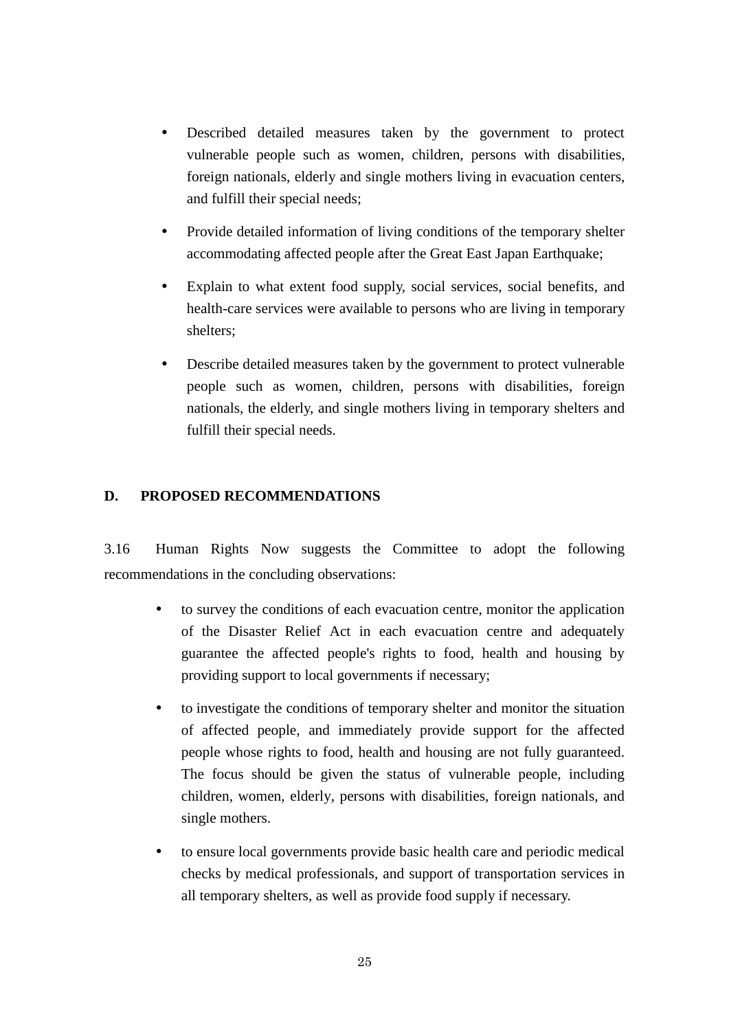- Described detailed measures taken by the government to protect vulnerable people such as women, children, persons with disabilities, foreign nationals, elderly and single mothers living in evacuation centers, and fulfill their special needs;
- Provide detailed information of living conditions of the temporary shelter accommodating affected people after the Great East Japan Earthquake;
- Explain to what extent food supply, social services, social benefits, and health-care services were available to persons who are living in temporary shelters;
- Describe detailed measures taken by the government to protect vulnerable people such as women, children, persons with disabilities, foreign nationals, the elderly, and single mothers living in temporary shelters and fulfill their special needs.

# <span id="page-28-0"></span>**D. PROPOSED RECOMMENDATIONS**

3.16 Human Rights Now suggests the Committee to adopt the following recommendations in the concluding observations:

- to survey the conditions of each evacuation centre, monitor the application of the Disaster Relief Act in each evacuation centre and adequately guarantee the affected people's rights to food, health and housing by providing support to local governments if necessary;
- to investigate the conditions of temporary shelter and monitor the situation of affected people, and immediately provide support for the affected people whose rights to food, health and housing are not fully guaranteed. The focus should be given the status of vulnerable people, including children, women, elderly, persons with disabilities, foreign nationals, and single mothers.
- to ensure local governments provide basic health care and periodic medical checks by medical professionals, and support of transportation services in all temporary shelters, as well as provide food supply if necessary.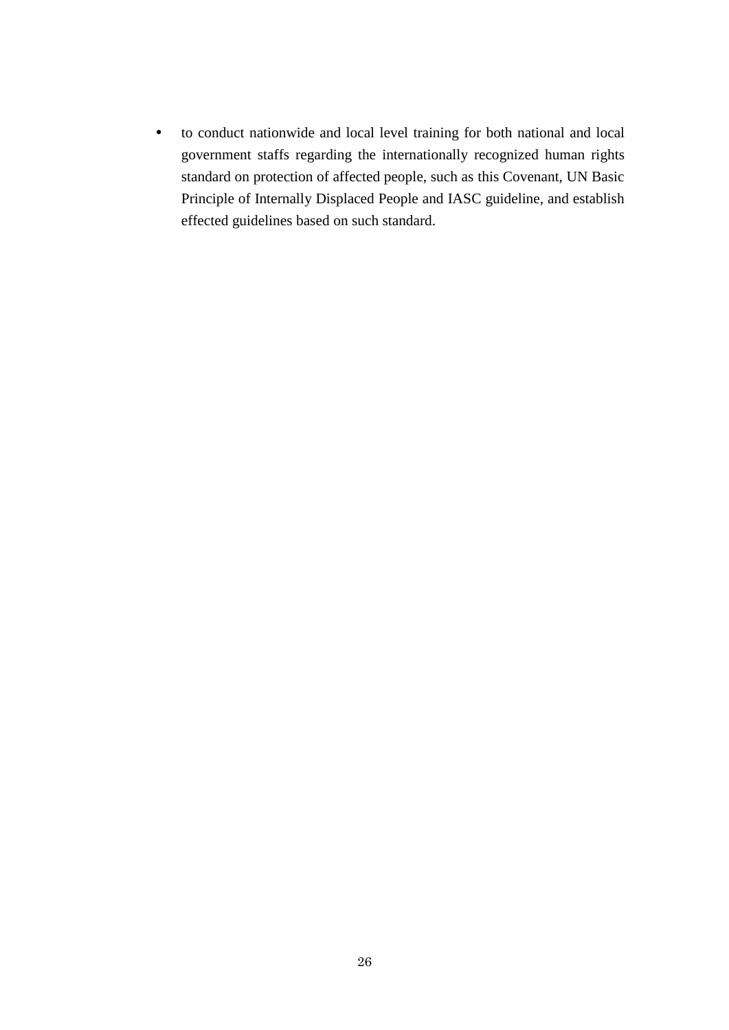to conduct nationwide and local level training for both national and local government staffs regarding the internationally recognized human rights standard on protection of affected people, such as this Covenant, UN Basic Principle of Internally Displaced People and IASC guideline, and establish effected guidelines based on such standard.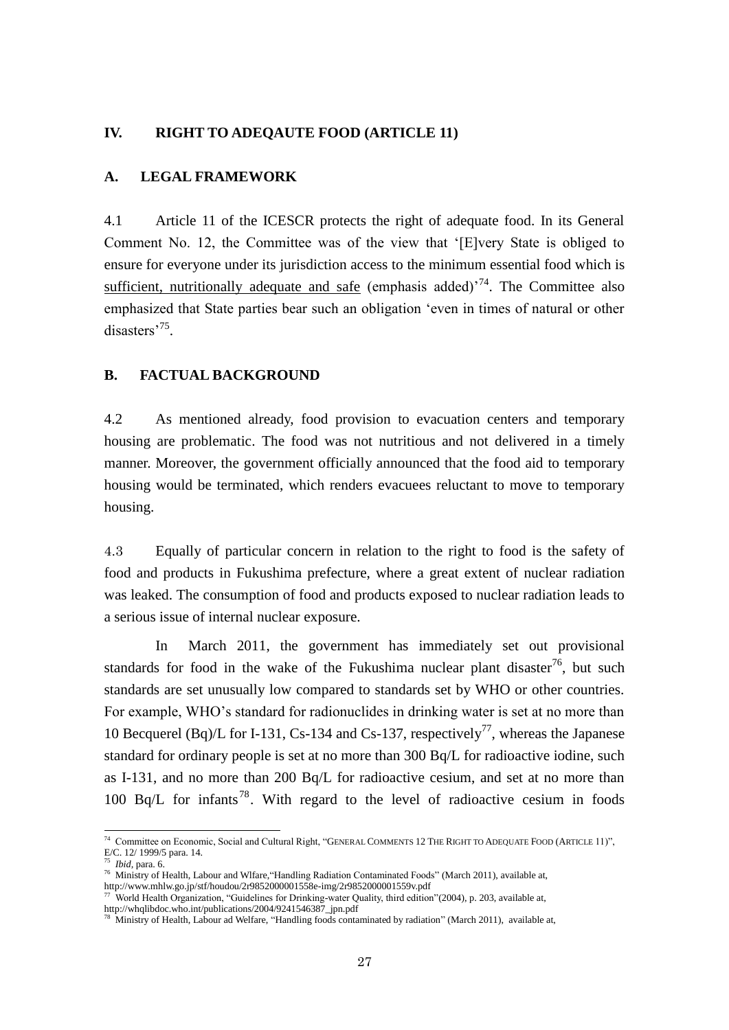# <span id="page-30-0"></span>**IV. RIGHT TO ADEQAUTE FOOD (ARTICLE 11)**

#### <span id="page-30-1"></span>**A. LEGAL FRAMEWORK**

4.1 Article 11 of the ICESCR protects the right of adequate food. In its General Comment No. 12, the Committee was of the view that '[E]very State is obliged to ensure for everyone under its jurisdiction access to the minimum essential food which is sufficient, nutritionally adequate and safe (emphasis added)<sup> $74$ </sup>. The Committee also emphasized that State parties bear such an obligation 'even in times of natural or other disasters<sup>'75</sup>.

#### <span id="page-30-2"></span>**B. FACTUAL BACKGROUND**

4.2 As mentioned already, food provision to evacuation centers and temporary housing are problematic. The food was not nutritious and not delivered in a timely manner. Moreover, the government officially announced that the food aid to temporary housing would be terminated, which renders evacuees reluctant to move to temporary housing.

4.3 Equally of particular concern in relation to the right to food is the safety of food and products in Fukushima prefecture, where a great extent of nuclear radiation was leaked. The consumption of food and products exposed to nuclear radiation leads to a serious issue of internal nuclear exposure.

In March 2011, the government has immediately set out provisional standards for food in the wake of the Fukushima nuclear plant disaster<sup>76</sup>, but such standards are set unusually low compared to standards set by WHO or other countries. For example, WHO's standard for radionuclides in drinking water is set at no more than 10 Becquerel (Bq)/L for I-131, Cs-134 and Cs-137, respectively<sup>77</sup>, whereas the Japanese standard for ordinary people is set at no more than 300 Bq/L for radioactive iodine, such as I-131, and no more than 200 Bq/L for radioactive cesium, and set at no more than 100 Bq/L for infants<sup>78</sup>. With regard to the level of radioactive cesium in foods

<sup>74</sup> Committee on Economic, Social and Cultural Right, "GENERAL COMMENTS 12 THE RIGHT TO ADEQUATE FOOD (ARTICLE 11)", E/C. 12/ 1999/5 para. 14.

<sup>75</sup> *Ibid,* para. 6.

<sup>76</sup> Ministry of Health, Labour and Wlfare,"Handling Radiation Contaminated Foods" (March 2011), available at, http://www.mhlw.go.jp/stf/houdou/2r9852000001558e-img/2r9852000001559v.pdf

<sup>77</sup> World Health Organization, "Guidelines for Drinking-water Quality, third edition"(2004), p. 203, available at, http://whqlibdoc.who.int/publications/2004/9241546387\_jpn.pdf

<sup>78</sup> Ministry of Health, Labour ad Welfare, "Handling foods contaminated by radiation" (March 2011), available at,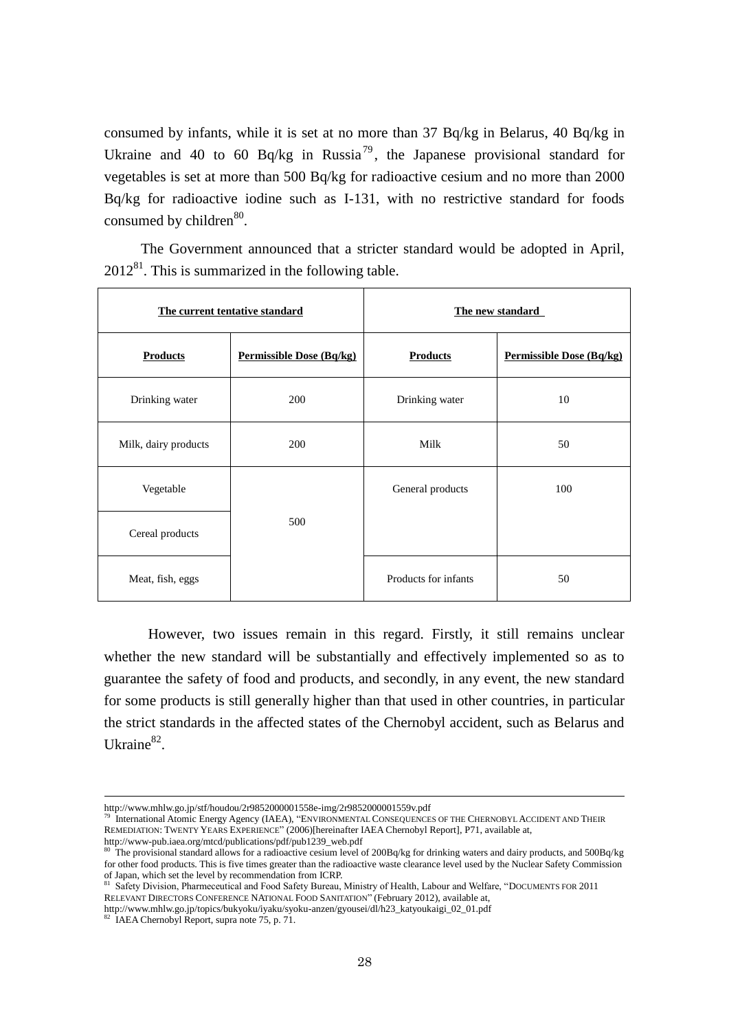consumed by infants, while it is set at no more than 37 Bq/kg in Belarus, 40 Bq/kg in Ukraine and 40 to 60 Bq/kg in Russia<sup>79</sup>, the Japanese provisional standard for vegetables is set at more than 500 Bq/kg for radioactive cesium and no more than 2000 Bq/kg for radioactive iodine such as I-131, with no restrictive standard for foods consumed by children<sup>80</sup>.

The Government announced that a stricter standard would be adopted in April,  $2012^{81}$ . This is summarized in the following table.

|                        | The current tentative standard | The new standard     |                                 |
|------------------------|--------------------------------|----------------------|---------------------------------|
| <b>Products</b>        | Permissible Dose (Bq/kg)       | <b>Products</b>      | <b>Permissible Dose (Bq/kg)</b> |
| Drinking water         | 200                            | Drinking water       | 10                              |
| Milk, dairy products   | 200                            | Milk                 | 50                              |
| Vegetable              |                                | General products     | 100                             |
| 500<br>Cereal products |                                |                      |                                 |
| Meat, fish, eggs       |                                | Products for infants | 50                              |

However, two issues remain in this regard. Firstly, it still remains unclear whether the new standard will be substantially and effectively implemented so as to guarantee the safety of food and products, and secondly, in any event, the new standard for some products is still generally higher than that used in other countries, in particular the strict standards in the affected states of the Chernobyl accident, such as Belarus and Ukraine<sup>82</sup>.

http://www.mhlw.go.jp/topics/bukyoku/iyaku/syoku-anzen/gyousei/dl/h23\_katyoukaigi\_02\_01.pdf<br>
<sup>82</sup>\_IAEA Chamebel Dependent Chamebel News Side Chamebel Dependent Chamebel Dependent Chamebel Dependent Chamebel Dependent Chame

 $\overline{\phantom{a}}$ 

http://www.mhlw.go.jp/stf/houdou/2r9852000001558e-img/2r9852000001559v.pdf

<sup>79</sup> International Atomic Energy Agency (IAEA), "ENVIRONMENTAL CONSEQUENCES OF THE CHERNOBYL ACCIDENT AND THEIR REMEDIATION: TWENTY YEARS EXPERIENCE" (2006)[hereinafter IAEA Chernobyl Report], P71, available at, http://www-pub.iaea.org/mtcd/publications/pdf/pub1239\_web.pdf

<sup>&</sup>lt;sup>80</sup> The provisional standard allows for a radioactive cesium level of 200Bq/kg for drinking waters and dairy products, and 500Bq/kg for other food products. This is five times greater than the radioactive waste clearance level used by the Nuclear Safety Commission of Japan, which set the level by recommendation from ICRP.

<sup>81</sup> Safety Division, Pharmeceutical and Food Safety Bureau, Ministry of Health, Labour and Welfare, "DOCUMENTS FOR 2011 RELEVANT DIRECTORS CONFERENCE NATIONAL FOOD SANITATION" (February 2012), available at,

IAEA Chernobyl Report, supra note  $\overline{75}$ , p. 71.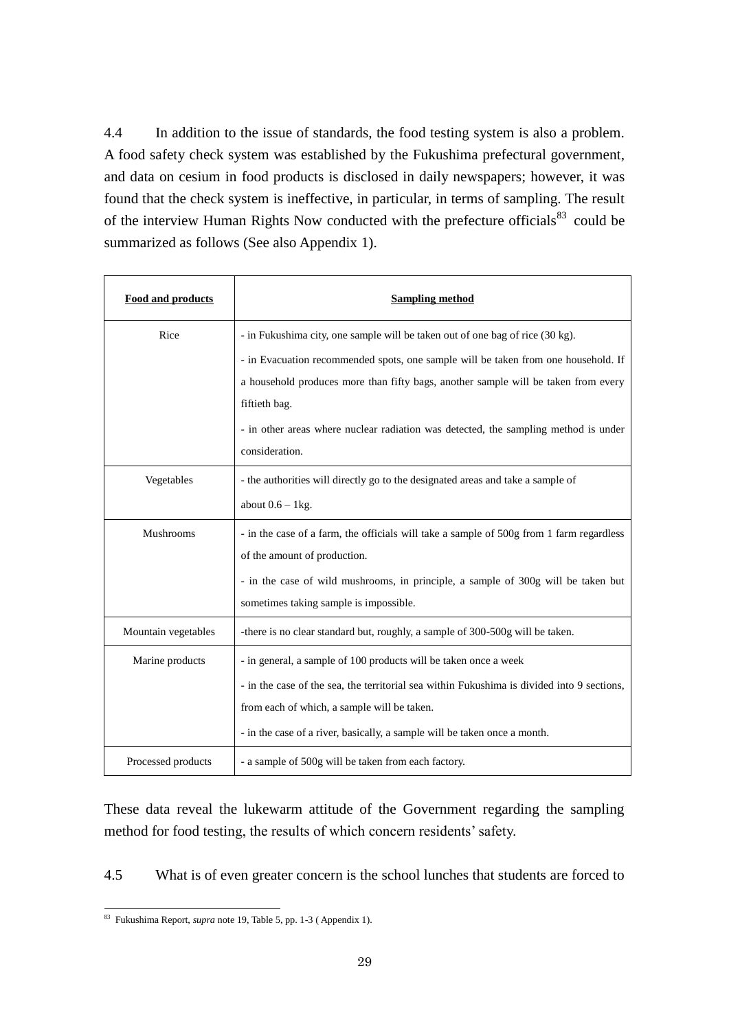4.4 In addition to the issue of standards, the food testing system is also a problem. A food safety check system was established by the Fukushima prefectural government, and data on cesium in food products is disclosed in daily newspapers; however, it was found that the check system is ineffective, in particular, in terms of sampling. The result of the interview Human Rights Now conducted with the prefecture officials<sup>83</sup> could be summarized as follows (See also Appendix 1).

| <b>Food and products</b> | <b>Sampling method</b>                                                                     |
|--------------------------|--------------------------------------------------------------------------------------------|
| Rice                     | - in Fukushima city, one sample will be taken out of one bag of rice (30 kg).              |
|                          | - in Evacuation recommended spots, one sample will be taken from one household. If         |
|                          | a household produces more than fifty bags, another sample will be taken from every         |
|                          | fiftieth bag.                                                                              |
|                          | - in other areas where nuclear radiation was detected, the sampling method is under        |
|                          | consideration.                                                                             |
| Vegetables               | - the authorities will directly go to the designated areas and take a sample of            |
|                          | about $0.6 - 1$ kg.                                                                        |
| Mushrooms                | - in the case of a farm, the officials will take a sample of 500g from 1 farm regardless   |
|                          | of the amount of production.                                                               |
|                          | - in the case of wild mushrooms, in principle, a sample of 300g will be taken but          |
|                          | sometimes taking sample is impossible.                                                     |
| Mountain vegetables      | -there is no clear standard but, roughly, a sample of 300-500g will be taken.              |
| Marine products          | - in general, a sample of 100 products will be taken once a week                           |
|                          | - in the case of the sea, the territorial sea within Fukushima is divided into 9 sections, |
|                          | from each of which, a sample will be taken.                                                |
|                          | - in the case of a river, basically, a sample will be taken once a month.                  |
| Processed products       | - a sample of 500g will be taken from each factory.                                        |

These data reveal the lukewarm attitude of the Government regarding the sampling method for food testing, the results of which concern residents' safety.

4.5 What is of even greater concern is the school lunches that students are forced to

<sup>-</sup><sup>83</sup> Fukushima Report, *supra* note 19, Table 5, pp. 1-3 ( Appendix 1).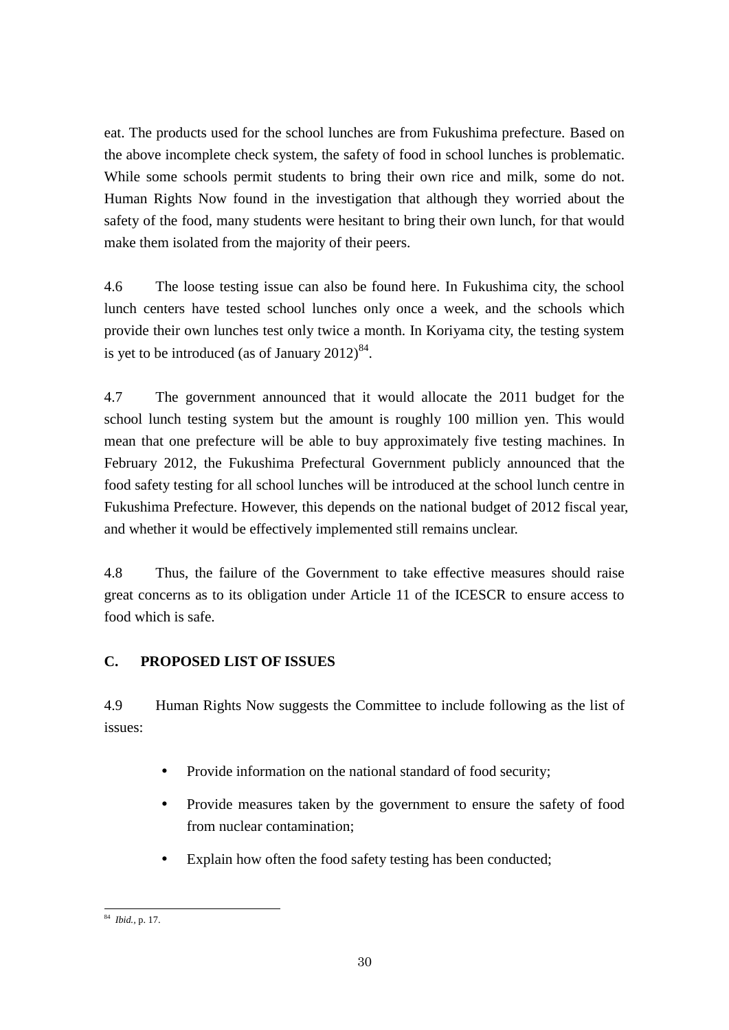eat. The products used for the school lunches are from Fukushima prefecture. Based on the above incomplete check system, the safety of food in school lunches is problematic. While some schools permit students to bring their own rice and milk, some do not. Human Rights Now found in the investigation that although they worried about the safety of the food, many students were hesitant to bring their own lunch, for that would make them isolated from the majority of their peers.

4.6 The loose testing issue can also be found here. In Fukushima city, the school lunch centers have tested school lunches only once a week, and the schools which provide their own lunches test only twice a month. In Koriyama city, the testing system is yet to be introduced (as of January  $2012)^{84}$ .

4.7 The government announced that it would allocate the 2011 budget for the school lunch testing system but the amount is roughly 100 million yen. This would mean that one prefecture will be able to buy approximately five testing machines. In February 2012, the Fukushima Prefectural Government publicly announced that the food safety testing for all school lunches will be introduced at the school lunch centre in Fukushima Prefecture. However, this depends on the national budget of 2012 fiscal year, and whether it would be effectively implemented still remains unclear.

4.8 Thus, the failure of the Government to take effective measures should raise great concerns as to its obligation under Article 11 of the ICESCR to ensure access to food which is safe.

# **C. PROPOSED LIST OF ISSUES**

4.9 Human Rights Now suggests the Committee to include following as the list of issues:

- Provide information on the national standard of food security;
- Provide measures taken by the government to ensure the safety of food from nuclear contamination;
- Explain how often the food safety testing has been conducted;

<sup>-</sup><sup>84</sup> *Ibid.,* p. 17.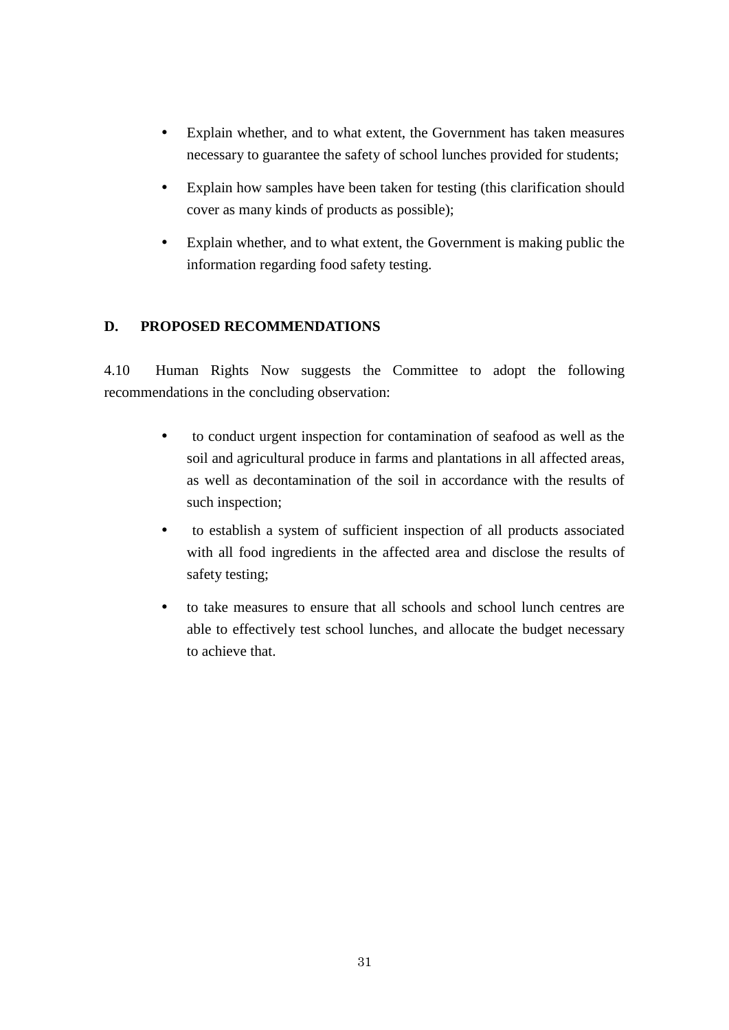- Explain whether, and to what extent, the Government has taken measures necessary to guarantee the safety of school lunches provided for students;
- Explain how samples have been taken for testing (this clarification should cover as many kinds of products as possible);
- Explain whether, and to what extent, the Government is making public the information regarding food safety testing.

# <span id="page-34-0"></span>**D. PROPOSED RECOMMENDATIONS**

4.10 Human Rights Now suggests the Committee to adopt the following recommendations in the concluding observation:

- to conduct urgent inspection for contamination of seafood as well as the soil and agricultural produce in farms and plantations in all affected areas, as well as decontamination of the soil in accordance with the results of such inspection;
- to establish a system of sufficient inspection of all products associated with all food ingredients in the affected area and disclose the results of safety testing;
- <span id="page-34-1"></span> to take measures to ensure that all schools and school lunch centres are able to effectively test school lunches, and allocate the budget necessary to achieve that.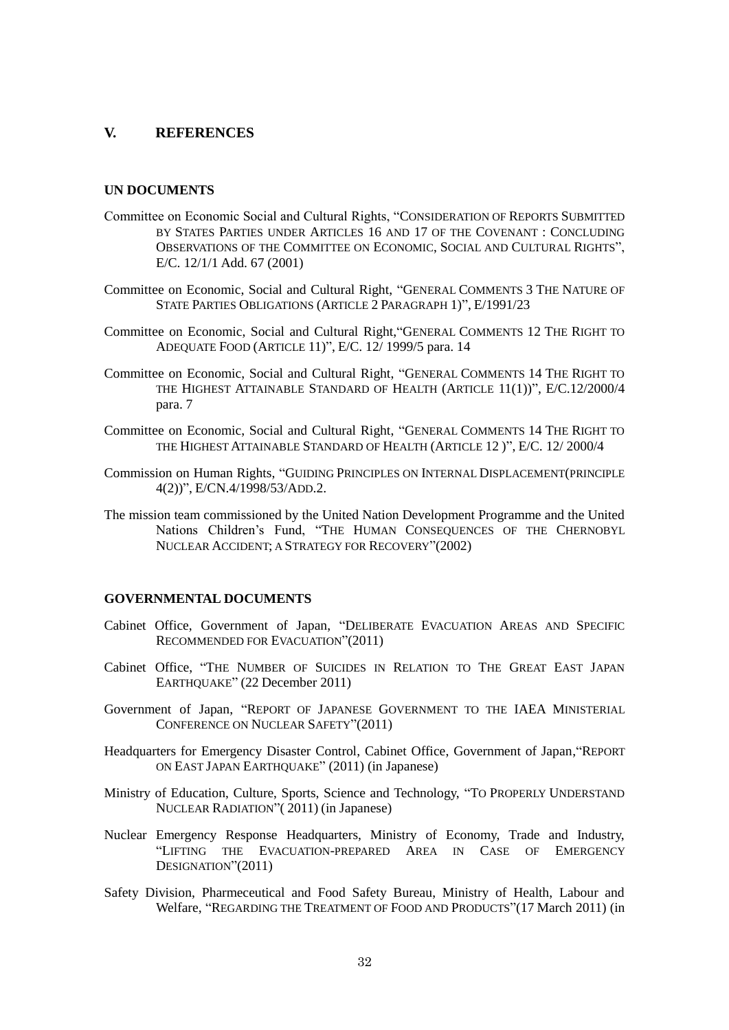## **V. REFERENCES**

#### **UN DOCUMENTS**

- Committee on Economic Social and Cultural Rights, "CONSIDERATION OF REPORTS SUBMITTED BY STATES PARTIES UNDER ARTICLES 16 AND 17 OF THE COVENANT : CONCLUDING OBSERVATIONS OF THE COMMITTEE ON ECONOMIC, SOCIAL AND CULTURAL RIGHTS", E/C. 12/1/1 Add. 67 (2001)
- Committee on Economic, Social and Cultural Right, "GENERAL COMMENTS 3 THE NATURE OF STATE PARTIES OBLIGATIONS (ARTICLE 2 PARAGRAPH 1)", E/1991/23
- Committee on Economic, Social and Cultural Right,"GENERAL COMMENTS 12 THE RIGHT TO ADEQUATE FOOD (ARTICLE 11)", E/C. 12/ 1999/5 para. 14
- Committee on Economic, Social and Cultural Right, "GENERAL COMMENTS 14 THE RIGHT TO THE HIGHEST ATTAINABLE STANDARD OF HEALTH (ARTICLE 11(1))", E/C.12/2000/4 para. 7
- Committee on Economic, Social and Cultural Right, "GENERAL COMMENTS 14 THE RIGHT TO THE HIGHEST ATTAINABLE STANDARD OF HEALTH (ARTICLE 12 )", E/C. 12/ 2000/4
- Commission on Human Rights, "GUIDING PRINCIPLES ON INTERNAL DISPLACEMENT(PRINCIPLE 4(2))", E/CN.4/1998/53/ADD.2.
- The mission team commissioned by the United Nation Development Programme and the United Nations Children's Fund, "THE HUMAN CONSEQUENCES OF THE CHERNOBYL NUCLEAR ACCIDENT; A STRATEGY FOR RECOVERY"(2002)

### **GOVERNMENTAL DOCUMENTS**

- Cabinet Office, Government of Japan, "DELIBERATE EVACUATION AREAS AND SPECIFIC RECOMMENDED FOR EVACUATION"(2011)
- Cabinet Office, "THE NUMBER OF SUICIDES IN RELATION TO THE GREAT EAST JAPAN EARTHQUAKE" (22 December 2011)
- Government of Japan, "REPORT OF JAPANESE GOVERNMENT TO THE IAEA MINISTERIAL CONFERENCE ON NUCLEAR SAFETY"(2011)
- Headquarters for Emergency Disaster Control, Cabinet Office, Government of Japan,"REPORT ON EAST JAPAN EARTHQUAKE" (2011) (in Japanese)
- Ministry of Education, Culture, Sports, Science and Technology, "TO PROPERLY UNDERSTAND NUCLEAR RADIATION"( 2011) (in Japanese)
- Nuclear Emergency Response Headquarters, Ministry of Economy, Trade and Industry, "LIFTING THE EVACUATION-PREPARED AREA IN CASE OF EMERGENCY DESIGNATION"(2011)
- Safety Division, Pharmeceutical and Food Safety Bureau, Ministry of Health, Labour and Welfare, "REGARDING THE TREATMENT OF FOOD AND PRODUCTS"(17 March 2011) (in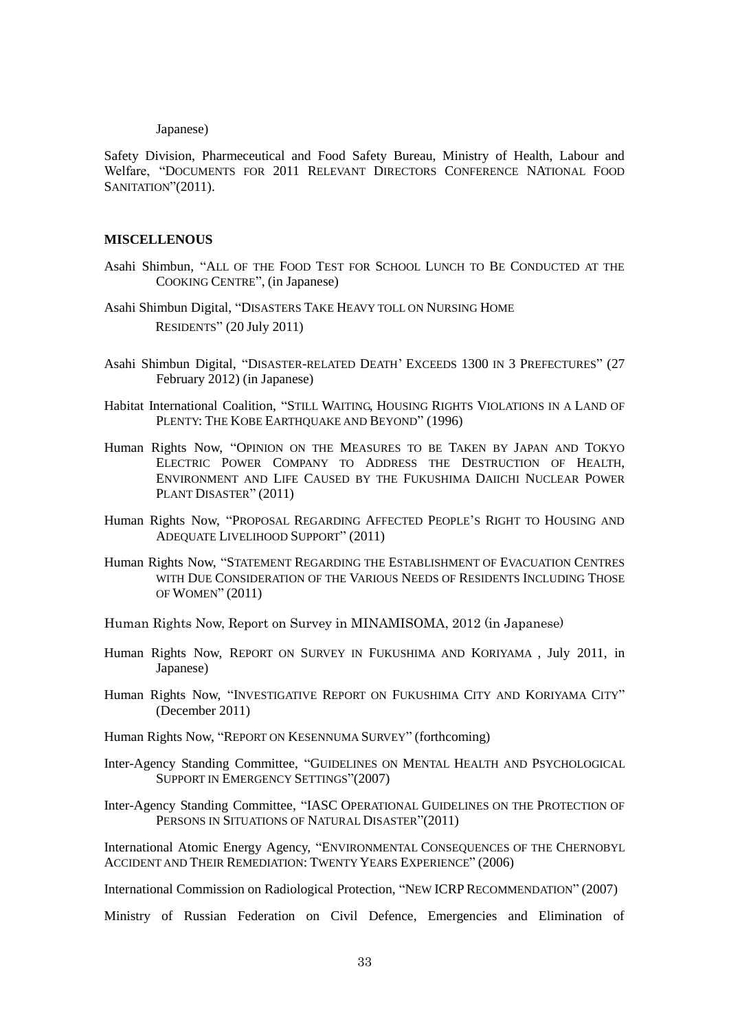#### Japanese)

Safety Division, Pharmeceutical and Food Safety Bureau, Ministry of Health, Labour and Welfare, "DOCUMENTS FOR 2011 RELEVANT DIRECTORS CONFERENCE NATIONAL FOOD SANITATION"(2011).

#### **MISCELLENOUS**

- Asahi Shimbun, "ALL OF THE FOOD TEST FOR SCHOOL LUNCH TO BE CONDUCTED AT THE COOKING CENTRE", (in Japanese)
- Asahi Shimbun Digital, "DISASTERS TAKE HEAVY TOLL ON NURSING HOME RESIDENTS" (20 July 2011)
- Asahi Shimbun Digital, "DISASTER-RELATED DEATH' EXCEEDS 1300 IN 3 PREFECTURES" (27 February 2012) (in Japanese)
- Habitat International Coalition, "STILL WAITING, HOUSING RIGHTS VIOLATIONS IN A LAND OF PLENTY: THE KOBE EARTHQUAKE AND BEYOND" (1996)
- Human Rights Now, "OPINION ON THE MEASURES TO BE TAKEN BY JAPAN AND TOKYO ELECTRIC POWER COMPANY TO ADDRESS THE DESTRUCTION OF HEALTH, ENVIRONMENT AND LIFE CAUSED BY THE FUKUSHIMA DAIICHI NUCLEAR POWER PLANT DISASTER" (2011)
- Human Rights Now, "PROPOSAL REGARDING AFFECTED PEOPLE'S RIGHT TO HOUSING AND ADEQUATE LIVELIHOOD SUPPORT" (2011)
- Human Rights Now, "STATEMENT REGARDING THE ESTABLISHMENT OF EVACUATION CENTRES WITH DUE CONSIDERATION OF THE VARIOUS NEEDS OF RESIDENTS INCLUDING THOSE OF WOMEN" (2011)
- Human Rights Now, Report on Survey in MINAMISOMA, 2012 (in Japanese)
- Human Rights Now, REPORT ON SURVEY IN FUKUSHIMA AND KORIYAMA , July 2011, in Japanese)
- Human Rights Now, "INVESTIGATIVE REPORT ON FUKUSHIMA CITY AND KORIYAMA CITY" (December 2011)
- Human Rights Now, "REPORT ON KESENNUMA SURVEY" (forthcoming)
- Inter-Agency Standing Committee, "GUIDELINES ON MENTAL HEALTH AND PSYCHOLOGICAL SUPPORT IN EMERGENCY SETTINGS"(2007)
- Inter-Agency Standing Committee, "IASC OPERATIONAL GUIDELINES ON THE PROTECTION OF PERSONS IN SITUATIONS OF NATURAL DISASTER"(2011)

International Atomic Energy Agency, "ENVIRONMENTAL CONSEQUENCES OF THE CHERNOBYL ACCIDENT AND THEIR REMEDIATION: TWENTY YEARS EXPERIENCE" (2006)

International Commission on Radiological Protection, "NEW ICRP RECOMMENDATION" (2007)

Ministry of Russian Federation on Civil Defence, Emergencies and Elimination of